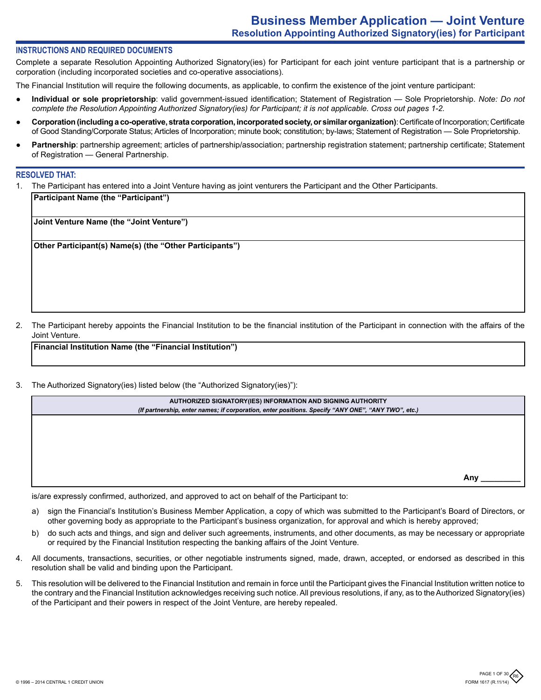## **INSTRUCTIONS AND REQUIRED DOCUMENTS**

Complete a separate Resolution Appointing Authorized Signatory(ies) for Participant for each joint venture participant that is a partnership or corporation (including incorporated societies and co-operative associations).

The Financial Institution will require the following documents, as applicable, to confirm the existence of the joint venture participant:

- **Individual or sole proprietorship**: valid government-issued identification; Statement of Registration Sole Proprietorship. *Note: Do not complete the Resolution Appointing Authorized Signatory(ies) for Participant; it is not applicable. Cross out pages 1-2.*
- **Corporation (including a co-operative, strata corporation, incorporated society, or similar organization)**: Certificate of Incorporation; Certificate of Good Standing/Corporate Status; Articles of Incorporation; minute book; constitution; by-laws; Statement of Registration — Sole Proprietorship.
- Partnership: partnership agreement; articles of partnership/association; partnership registration statement; partnership certificate; Statement of Registration — General Partnership.

#### **RESOLVED THAT:**

1. The Participant has entered into a Joint Venture having as joint venturers the Participant and the Other Participants.

**Participant Name (the "Participant")**

**Joint Venture Name (the "Joint Venture")**

**Other Participant(s) Name(s) (the "Other Participants")**

2. The Participant hereby appoints the Financial Institution to be the financial institution of the Participant in connection with the affairs of the Joint Venture.

**Financial Institution Name (the "Financial Institution")** 

3. The Authorized Signatory(ies) listed below (the "Authorized Signatory(ies)"):

| AUTHORIZED SIGNATORY(IES) INFORMATION AND SIGNING AUTHORITY                                        |     |
|----------------------------------------------------------------------------------------------------|-----|
|                                                                                                    |     |
| (If partnership, enter names; if corporation, enter positions. Specify "ANY ONE", "ANY TWO", etc.) |     |
|                                                                                                    |     |
|                                                                                                    |     |
|                                                                                                    |     |
|                                                                                                    |     |
|                                                                                                    |     |
|                                                                                                    |     |
|                                                                                                    |     |
|                                                                                                    |     |
|                                                                                                    |     |
|                                                                                                    |     |
|                                                                                                    |     |
|                                                                                                    | Anv |
|                                                                                                    |     |

is/are expressly confirmed, authorized, and approved to act on behalf of the Participant to:

- a) sign the Financial's Institution's Business Member Application, a copy of which was submitted to the Participant's Board of Directors, or other governing body as appropriate to the Participant's business organization, for approval and which is hereby approved;
- b) do such acts and things, and sign and deliver such agreements, instruments, and other documents, as may be necessary or appropriate or required by the Financial Institution respecting the banking affairs of the Joint Venture.
- 4. All documents, transactions, securities, or other negotiable instruments signed, made, drawn, accepted, or endorsed as described in this resolution shall be valid and binding upon the Participant.
- 5. This resolution will be delivered to the Financial Institution and remain in force until the Participant gives the Financial Institution written notice to the contrary and the Financial Institution acknowledges receiving such notice. All previous resolutions, if any, as to the Authorized Signatory(ies) of the Participant and their powers in respect of the Joint Venture, are hereby repealed.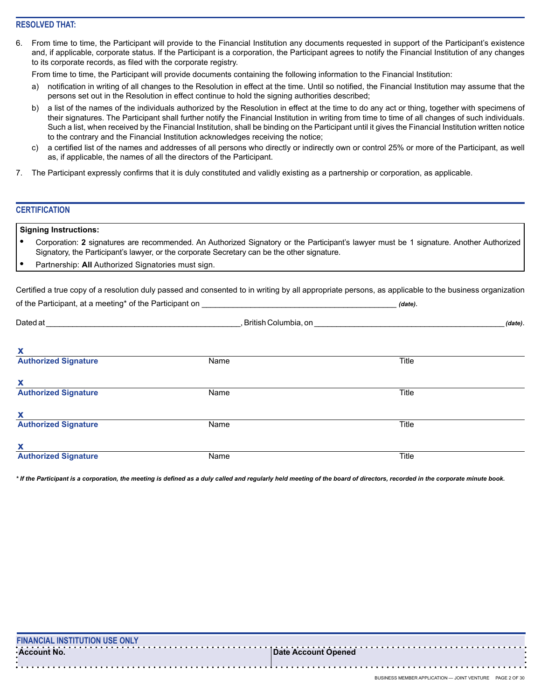## **RESOLVED THAT:**

6. From time to time, the Participant will provide to the Financial Institution any documents requested in support of the Participant's existence and, if applicable, corporate status. If the Participant is a corporation, the Participant agrees to notify the Financial Institution of any changes to its corporate records, as filed with the corporate registry.

From time to time, the Participant will provide documents containing the following information to the Financial Institution:

- a) notification in writing of all changes to the Resolution in effect at the time. Until so notified, the Financial Institution may assume that the persons set out in the Resolution in effect continue to hold the signing authorities described;
- b) a list of the names of the individuals authorized by the Resolution in effect at the time to do any act or thing, together with specimens of their signatures. The Participant shall further notify the Financial Institution in writing from time to time of all changes of such individuals. Such a list, when received by the Financial Institution, shall be binding on the Participant until it gives the Financial Institution written notice to the contrary and the Financial Institution acknowledges receiving the notice;
- c) a certified list of the names and addresses of all persons who directly or indirectly own or control 25% or more of the Participant, as well as, if applicable, the names of all the directors of the Participant.
- 7. The Participant expressly confirms that it is duly constituted and validly existing as a partnership or corporation, as applicable.

## **CERTIFICATION**

## **Signing Instructions:**

- **•** Corporation: **2** signatures are recommended. An Authorized Signatory or the Participant's lawyer must be 1 signature. Another Authorized Signatory, the Participant's lawyer, or the corporate Secretary can be the other signature.
- **•** Partnership: **All** Authorized Signatories must sign.

Certified a true copy of a resolution duly passed and consented to in writing by all appropriate persons, as applicable to the business organization of the Participant, at a meeting<sup>\*</sup> of the Participant on **of the example of the of the example of the example of the example of the example of the example of the example of the example of the example of the example of the** 

| <b>Dated</b> at             | , British Columbia, on |       |  |  | (date). |
|-----------------------------|------------------------|-------|--|--|---------|
| X                           |                        |       |  |  |         |
| <b>Authorized Signature</b> | Name                   | Title |  |  |         |
| X                           |                        |       |  |  |         |
| <b>Authorized Signature</b> | Name                   | Title |  |  |         |
| X                           |                        |       |  |  |         |
| <b>Authorized Signature</b> | Name                   | Title |  |  |         |
| X                           |                        |       |  |  |         |
| <b>Authorized Signature</b> | Name                   | Title |  |  |         |

*\* If the Participant is a corporation, the meeting is defined as a duly called and regularly held meeting of the board of directors, recorded in the corporate minute book.*

| <b>FINANCIAL INSTITUTION USE ONLY</b> |                     |
|---------------------------------------|---------------------|
| ∙Account No.                          | Date Account Opened |
|                                       |                     |
|                                       |                     |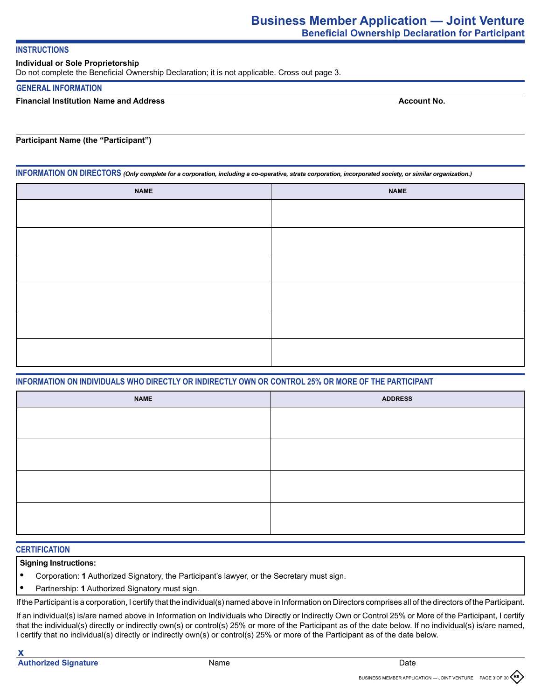## **INSTRUCTIONS**

## **Individual or Sole Proprietorship**

Do not complete the Beneficial Ownership Declaration; it is not applicable. Cross out page 3.

## **GENERAL INFORMATION**

## **Financial Institution Name and Address**

**Account No.**

**Participant Name (the "Participant")**

**INFORMATION ON DIRECTORS** *(Only complete for a corporation, including a co-operative, strata corporation, incorporated society, or similar organization.)*

| <b>NAME</b> | <b>NAME</b> |
|-------------|-------------|
|             |             |
|             |             |
|             |             |
|             |             |
|             |             |
|             |             |
|             |             |
|             |             |
|             |             |
|             |             |
|             |             |
|             |             |

## **INFORMATION ON INDIVIDUALS WHO DIRECTLY OR INDIRECTLY OWN OR CONTROL 25% OR MORE OF THE PARTICIPANT**

| <b>NAME</b> | <b>ADDRESS</b> |
|-------------|----------------|
|             |                |
|             |                |
|             |                |
|             |                |
|             |                |
|             |                |
|             |                |
|             |                |

## **CERTIFICATION**

## **Signing Instructions:**

- **•** Corporation: **1** Authorized Signatory, the Participant's lawyer, or the Secretary must sign.
- **•** Partnership: **1** Authorized Signatory must sign.

If the Participant is a corporation, I certify that the individual(s) named above in Information on Directors comprises all of the directors of the Participant.

If an individual(s) is/are named above in Information on Individuals who Directly or Indirectly Own or Control 25% or More of the Participant, I certify that the individual(s) directly or indirectly own(s) or control(s) 25% or more of the Participant as of the date below. If no individual(s) is/are named, I certify that no individual(s) directly or indirectly own(s) or control(s) 25% or more of the Participant as of the date below.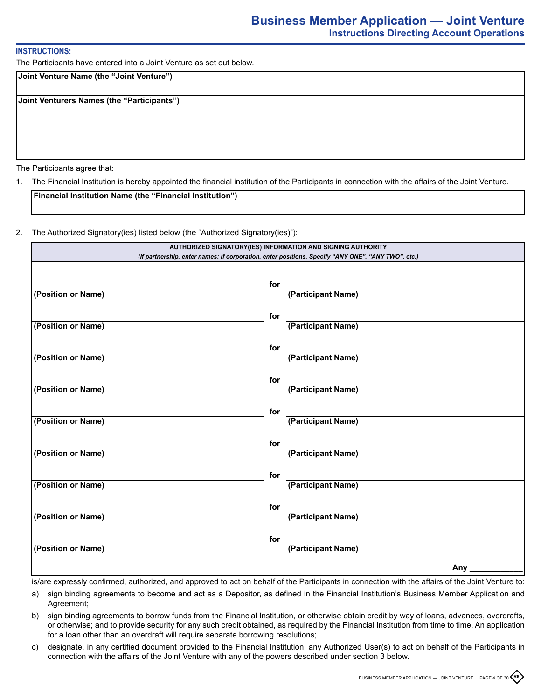## **INSTRUCTIONS:**

The Participants have entered into a Joint Venture as set out below.

**Joint Venture Name (the "Joint Venture")**

**Joint Venturers Names (the "Participants")**

The Participants agree that:

1. The Financial Institution is hereby appointed the financial institution of the Participants in connection with the affairs of the Joint Venture.

**Financial Institution Name (the "Financial Institution")**

2. The Authorized Signatory(ies) listed below (the "Authorized Signatory(ies)"):

| AUTHORIZED SIGNATORY(IES) INFORMATION AND SIGNING AUTHORITY<br>(If partnership, enter names; if corporation, enter positions. Specify "ANY ONE", "ANY TWO", etc.) |     |                    |     |
|-------------------------------------------------------------------------------------------------------------------------------------------------------------------|-----|--------------------|-----|
|                                                                                                                                                                   | for |                    |     |
| (Position or Name)                                                                                                                                                |     | (Participant Name) |     |
| (Position or Name)                                                                                                                                                | for | (Participant Name) |     |
|                                                                                                                                                                   | for |                    |     |
| (Position or Name)                                                                                                                                                |     | (Participant Name) |     |
| (Position or Name)                                                                                                                                                | for | (Participant Name) |     |
|                                                                                                                                                                   | for | (Participant Name) |     |
| (Position or Name)                                                                                                                                                |     |                    |     |
| (Position or Name)                                                                                                                                                | for | (Participant Name) |     |
|                                                                                                                                                                   | for | (Participant Name) |     |
| (Position or Name)                                                                                                                                                |     |                    |     |
| (Position or Name)                                                                                                                                                | for | (Participant Name) |     |
| (Position or Name)                                                                                                                                                | for | (Participant Name) |     |
|                                                                                                                                                                   |     |                    | Any |

is/are expressly confirmed, authorized, and approved to act on behalf of the Participants in connection with the affairs of the Joint Venture to:

- a) sign binding agreements to become and act as a Depositor, as defined in the Financial Institution's Business Member Application and Agreement;
- b) sign binding agreements to borrow funds from the Financial Institution, or otherwise obtain credit by way of loans, advances, overdrafts, or otherwise; and to provide security for any such credit obtained, as required by the Financial Institution from time to time. An application for a loan other than an overdraft will require separate borrowing resolutions;
- c) designate, in any certified document provided to the Financial Institution, any Authorized User(s) to act on behalf of the Participants in connection with the affairs of the Joint Venture with any of the powers described under section 3 below.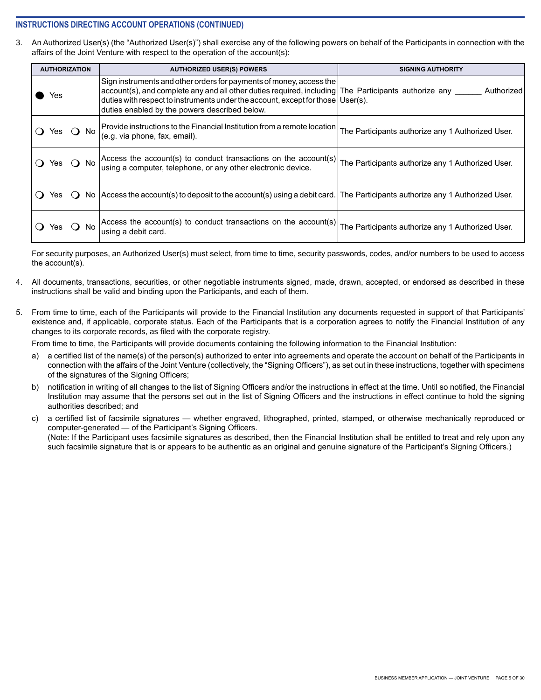## **INSTRUCTIONS DIRECTING ACCOUNT OPERATIONS (CONTINUED)**

3. An Authorized User(s) (the "Authorized User(s)") shall exercise any of the following powers on behalf of the Participants in connection with the affairs of the Joint Venture with respect to the operation of the account(s):

| <b>AUTHORIZATION</b> | <b>AUTHORIZED USER(S) POWERS</b>                                                                                                                                                                                                                                                                                   | <b>SIGNING AUTHORITY</b>                          |
|----------------------|--------------------------------------------------------------------------------------------------------------------------------------------------------------------------------------------------------------------------------------------------------------------------------------------------------------------|---------------------------------------------------|
| Yes                  | Sign instruments and other orders for payments of money, access the<br>$account(s)$ , and complete any and all other duties required, including The Participants authorize any<br>duties with respect to instruments under the account, except for those User(s).<br>duties enabled by the powers described below. | Authorized                                        |
| Yes () No            | Provide instructions to the Financial Institution from a remote location<br>(e.g. via phone, fax, email).                                                                                                                                                                                                          | The Participants authorize any 1 Authorized User. |
| Yes $\bigcirc$ No    | Access the account(s) to conduct transactions on the account(s)<br>using a computer, telephone, or any other electronic device.                                                                                                                                                                                    | The Participants authorize any 1 Authorized User. |
| Yes.<br>$\mathbf{C}$ | No Access the account (s) to deposit to the account (s) using a debit card. The Participants authorize any 1 Authorized User.                                                                                                                                                                                      |                                                   |
| Yes.                 | Access the account(s) to conduct transactions on the account(s)<br>using a debit card.                                                                                                                                                                                                                             | The Participants authorize any 1 Authorized User. |

For security purposes, an Authorized User(s) must select, from time to time, security passwords, codes, and/or numbers to be used to access the account(s).

- 4. All documents, transactions, securities, or other negotiable instruments signed, made, drawn, accepted, or endorsed as described in these instructions shall be valid and binding upon the Participants, and each of them.
- 5. From time to time, each of the Participants will provide to the Financial Institution any documents requested in support of that Participants' existence and, if applicable, corporate status. Each of the Participants that is a corporation agrees to notify the Financial Institution of any changes to its corporate records, as filed with the corporate registry.

From time to time, the Participants will provide documents containing the following information to the Financial Institution:

- a) a certified list of the name(s) of the person(s) authorized to enter into agreements and operate the account on behalf of the Participants in connection with the affairs of the Joint Venture (collectively, the "Signing Officers"), as set out in these instructions, together with specimens of the signatures of the Signing Officers;
- b) notification in writing of all changes to the list of Signing Officers and/or the instructions in effect at the time. Until so notified, the Financial Institution may assume that the persons set out in the list of Signing Officers and the instructions in effect continue to hold the signing authorities described; and
- c) a certified list of facsimile signatures whether engraved, lithographed, printed, stamped, or otherwise mechanically reproduced or computer-generated — of the Participant's Signing Officers. (Note: If the Participant uses facsimile signatures as described, then the Financial Institution shall be entitled to treat and rely upon any such facsimile signature that is or appears to be authentic as an original and genuine signature of the Participant's Signing Officers.)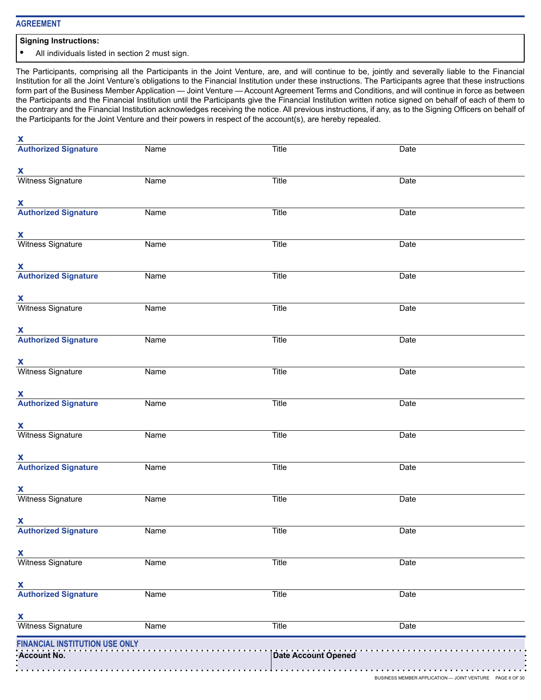## **AGREEMENT**

#### **Signing Instructions:**

**•** All individuals listed in section 2 must sign.

The Participants, comprising all the Participants in the Joint Venture, are, and will continue to be, jointly and severally liable to the Financial Institution for all the Joint Venture's obligations to the Financial Institution under these instructions. The Participants agree that these instructions form part of the Business Member Application — Joint Venture — Account Agreement Terms and Conditions, and will continue in force as between the Participants and the Financial Institution until the Participants give the Financial Institution written notice signed on behalf of each of them to the contrary and the Financial Institution acknowledges receiving the notice. All previous instructions, if any, as to the Signing Officers on behalf of the Participants for the Joint Venture and their powers in respect of the account(s), are hereby repealed.

| $\mathbf{x}$                                |      |              |                                                          |  |
|---------------------------------------------|------|--------------|----------------------------------------------------------|--|
| <b>Authorized Signature</b>                 | Name | Title        | Date                                                     |  |
|                                             |      |              |                                                          |  |
| $\mathbf{x}$<br>Witness Signature           | Name | Title        | Date                                                     |  |
|                                             |      |              |                                                          |  |
| $\mathbf{X}$                                |      |              |                                                          |  |
| <b>Authorized Signature</b>                 | Name | Title        | Date                                                     |  |
|                                             |      |              |                                                          |  |
| $\mathbf{x}$                                |      |              |                                                          |  |
| Witness Signature                           | Name | Title        | Date                                                     |  |
| $\mathbf{x}$                                |      |              |                                                          |  |
| <b>Authorized Signature</b>                 | Name | Title        | Date                                                     |  |
|                                             |      |              |                                                          |  |
| X                                           |      |              |                                                          |  |
| Witness Signature                           | Name | Title        | Date                                                     |  |
|                                             |      |              |                                                          |  |
| $\mathbf{X}$<br><b>Authorized Signature</b> | Name | Title        | Date                                                     |  |
|                                             |      |              |                                                          |  |
| $\mathbf{x}$                                |      |              |                                                          |  |
| Witness Signature                           | Name | Title        | Date                                                     |  |
|                                             |      |              |                                                          |  |
| $\mathbf{X}$<br><b>Authorized Signature</b> | Name | Title        | Date                                                     |  |
|                                             |      |              |                                                          |  |
| $\mathbf{x}$                                |      |              |                                                          |  |
| Witness Signature                           | Name | Title        | Date                                                     |  |
|                                             |      |              |                                                          |  |
| $\mathbf{x}$<br><b>Authorized Signature</b> |      |              |                                                          |  |
|                                             | Name | Title        | Date                                                     |  |
| $\mathbf{x}$                                |      |              |                                                          |  |
| <b>Witness Signature</b>                    | Name | Title        | Date                                                     |  |
|                                             |      |              |                                                          |  |
| <u>X</u>                                    |      |              |                                                          |  |
| <b>Authorized Signature</b>                 | Name | <b>Title</b> | Date                                                     |  |
|                                             |      |              |                                                          |  |
| <b>x</b><br>Witness Signature               | Name | Title        | Date                                                     |  |
|                                             |      |              |                                                          |  |
| $\overline{\mathbf{X}}$                     |      |              |                                                          |  |
| <b>Authorized Signature</b>                 | Name | Title        | Date                                                     |  |
|                                             |      |              |                                                          |  |
| <b>x</b><br>Witness Signature               | Name | Title        | Date                                                     |  |
|                                             |      |              |                                                          |  |
| FINANCIAL INSTITUTION USE ONLY              |      |              | Date Account Opened<br>Date Account Opened               |  |
| Account No.                                 |      |              |                                                          |  |
|                                             | .    | .            | BUSINESS MEMBER APPLICATION - JOINT VENTURE PAGE 6 OF 30 |  |
|                                             |      |              |                                                          |  |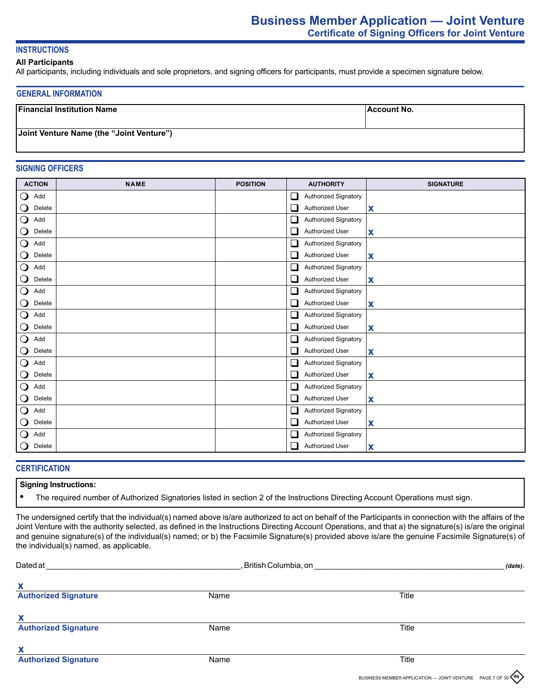## **INSTRUCTIONS**

## **All Participants**

All participants, including individuals and sole proprietors, and signing officers for participants, must provide a specimen signature below.

#### **GENERAL INFORMATION**

| <b>Financial Institution Name</b>        | <b>Account No.</b> |
|------------------------------------------|--------------------|
| Joint Venture Name (the "Joint Venture") |                    |

## **SIGNING OFFICERS**

| <b>ACTION</b>                   | <b>NAME</b> | <b>POSITION</b> | <b>AUTHORITY</b>                            | <b>SIGNATURE</b>          |
|---------------------------------|-------------|-----------------|---------------------------------------------|---------------------------|
| $\mathsf{O}$<br>Add             |             |                 | Authorized Signatory<br>⊔                   |                           |
| $\mathsf{O}$<br>Delete          |             |                 | Authorized User<br>⊔                        | $\boldsymbol{\mathsf{X}}$ |
| $\bigcirc$<br>Add               |             |                 | $\Box$<br>Authorized Signatory              |                           |
| $\mathbf{\mathsf{O}}$<br>Delete |             |                 | Authorized User<br>$\sqcup$                 | X                         |
| $\bigcirc$<br>Add               |             |                 | Authorized Signatory<br>⊔                   |                           |
| $\mathbf{\mathsf{O}}$<br>Delete |             |                 | Authorized User<br>⊔                        | X                         |
| $\overline{O}$<br>Add           |             |                 | Authorized Signatory<br>⊔                   |                           |
| $\mathbf{\mathsf{O}}$<br>Delete |             |                 | Authorized User<br>ப                        | X                         |
| $\bigcirc$<br>Add               |             |                 | □<br>Authorized Signatory                   |                           |
| $\mathbf{\mathsf{O}}$<br>Delete |             |                 | Authorized User<br>⊔                        | $\boldsymbol{\mathsf{x}}$ |
| $\mathbf{\mathsf{O}}$<br>Add    |             |                 | Authorized Signatory<br>⊔                   |                           |
| $\mathbf{\mathsf{O}}$<br>Delete |             |                 | Authorized User<br>⊔                        | $\boldsymbol{\mathsf{x}}$ |
| $\bigcirc$<br>Add               |             |                 | Authorized Signatory<br>ப                   |                           |
| $\mathbf{\mathsf{O}}$<br>Delete |             |                 | Authorized User<br>⊔                        | X                         |
| $\bigcirc$<br>Add               |             |                 | Authorized Signatory<br>⊔                   |                           |
| $\bigcirc$<br>Delete            |             |                 | Authorized User<br>⊔                        | $\boldsymbol{\mathsf{x}}$ |
| $\overline{O}$<br>Add           |             |                 | $\Box$<br>Authorized Signatory              |                           |
| $\mathbf{\mathsf{O}}$<br>Delete |             |                 | Authorized User<br>⊔                        | X                         |
| $\mathbf{\mathsf{O}}$<br>Add    |             |                 | □<br>Authorized Signatory                   |                           |
| $\mathbf{\mathsf{O}}$<br>Delete |             |                 | Authorized User<br>⊔                        | $\boldsymbol{\mathsf{x}}$ |
| $\mathbf O$<br>Add              |             |                 | Authorized Signatory<br>⊔                   |                           |
| $\mathsf{O}$<br>Delete          |             |                 | $\overline{\phantom{a}}$<br>Authorized User | X                         |

## **CERTIFICATION**

#### **Signing Instructions:**

**•** The required number of Authorized Signatories listed in section 2 of the Instructions Directing Account Operations must sign.

The undersigned certify that the individual(s) named above is/are authorized to act on behalf of the Participants in connection with the affairs of the Joint Venture with the authority selected, as defined in the Instructions Directing Account Operations, and that a) the signature(s) is/are the original and genuine signature(s) of the individual(s) named; or b) the Facsimile Signature(s) provided above is/are the genuine Facsimile Signature(s) of the individual(s) named, as applicable.

| <b>Dated</b> at             | , British Columbia, on |       |  |
|-----------------------------|------------------------|-------|--|
| X                           |                        |       |  |
| <b>Authorized Signature</b> | Name                   | Title |  |
| х                           |                        |       |  |
| <b>Authorized Signature</b> | Name                   | Title |  |
| х                           |                        |       |  |
| <b>Authorized Signature</b> | Name                   | Title |  |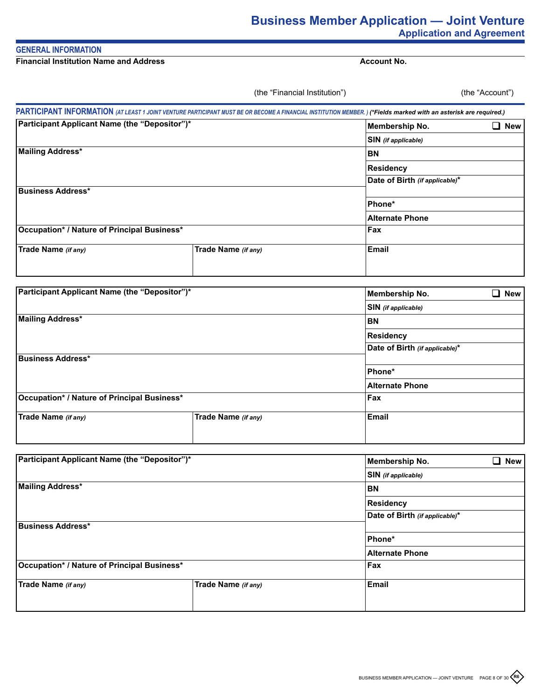# **Business Member Application — Joint Venture Application and Agreement**

## **GENERAL INFORMATION**

**Financial Institution Name and Address**

**Account No.**

(the "Account")

|                                               | PAR I IGIPAN I INFORMATION (AT LEAST 1 JOINT VENTURE PARTICIPANT MUST BE OR BECOME A FINANCIAL INSTITUTION MEMBER.) (*Fields marked with an asterisk are required.) |                                |            |
|-----------------------------------------------|---------------------------------------------------------------------------------------------------------------------------------------------------------------------|--------------------------------|------------|
| Participant Applicant Name (the "Depositor")* |                                                                                                                                                                     | <b>Membership No.</b>          | <b>New</b> |
|                                               |                                                                                                                                                                     | <b>SIN</b> (if applicable)     |            |
| <b>Mailing Address*</b>                       |                                                                                                                                                                     | ΒN                             |            |
|                                               |                                                                                                                                                                     | <b>Residency</b>               |            |
|                                               |                                                                                                                                                                     | Date of Birth (if applicable)* |            |
| <b>Business Address*</b>                      |                                                                                                                                                                     |                                |            |
|                                               |                                                                                                                                                                     | Phone*                         |            |
|                                               |                                                                                                                                                                     | <b>Alternate Phone</b>         |            |
| Occupation* / Nature of Principal Business*   |                                                                                                                                                                     | Fax                            |            |
| Trade Name (if any)                           | Trade Name (if any)                                                                                                                                                 | <b>Email</b>                   |            |
|                                               |                                                                                                                                                                     |                                |            |

(the "Financial Institution")

| <b>Participant Applicant Name (the "Depositor")*</b> | Membership No.             | New<br>$\mathcal{L}_{\mathcal{A}}$ |  |
|------------------------------------------------------|----------------------------|------------------------------------|--|
|                                                      | <b>SIN</b> (if applicable) |                                    |  |
| Mailing Address*                                     | <b>BN</b>                  |                                    |  |
|                                                      |                            | <b>Residency</b>                   |  |
|                                                      |                            | Date of Birth (if applicable)*     |  |
| Business Address*                                    |                            |                                    |  |
|                                                      |                            | Phone*                             |  |
|                                                      |                            | <b>Alternate Phone</b>             |  |
| Occupation* / Nature of Principal Business*          |                            | Fax                                |  |
| Trade Name (if any)                                  | Trade Name (if any)        | Email                              |  |

| Participant Applicant Name (the "Depositor")*      |                            | Membership No.                 | New |
|----------------------------------------------------|----------------------------|--------------------------------|-----|
|                                                    | <b>SIN</b> (if applicable) |                                |     |
| Mailing Address*                                   |                            | BN                             |     |
|                                                    |                            | Residency                      |     |
|                                                    |                            | Date of Birth (if applicable)* |     |
| <b>Business Address*</b>                           |                            |                                |     |
|                                                    |                            | Phone*                         |     |
|                                                    |                            | <b>Alternate Phone</b>         |     |
| <b>Occupation* / Nature of Principal Business*</b> |                            | Fax                            |     |
| Trade Name (if any)                                | Trade Name (if any)        | Email                          |     |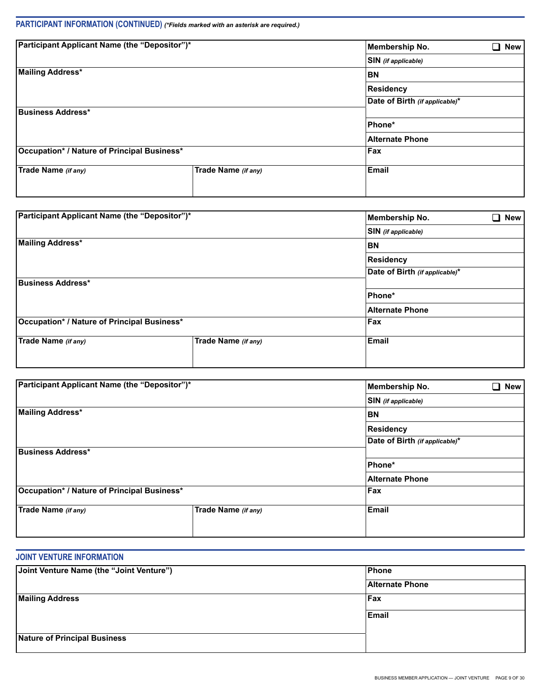# **PARTICIPANT INFORMATION (CONTINUED)** *(\*Fields marked with an asterisk are required.)*

| Participant Applicant Name (the "Depositor")* | <b>Membership No.</b>          | New                    |  |  |
|-----------------------------------------------|--------------------------------|------------------------|--|--|
|                                               | SIN (if applicable)            |                        |  |  |
| <b>Mailing Address*</b>                       | <b>BN</b>                      |                        |  |  |
|                                               |                                | Residency              |  |  |
|                                               | Date of Birth (if applicable)* |                        |  |  |
| Business Address*                             |                                |                        |  |  |
|                                               |                                | Phone*                 |  |  |
|                                               |                                | <b>Alternate Phone</b> |  |  |
| Occupation* / Nature of Principal Business*   |                                | Fax                    |  |  |
| Trade Name (if any)                           | Trade Name (if any)            | <b>Email</b>           |  |  |
|                                               |                                |                        |  |  |

| <b>Participant Applicant Name (the "Depositor")*</b> |                     | Membership No.                 | J.<br><b>New</b> |  |  |
|------------------------------------------------------|---------------------|--------------------------------|------------------|--|--|
|                                                      |                     | <b>SIN</b> (if applicable)     |                  |  |  |
| Mailing Address*                                     |                     | <b>BN</b>                      |                  |  |  |
|                                                      |                     | <b>Residency</b>               |                  |  |  |
|                                                      |                     | Date of Birth (if applicable)* |                  |  |  |
| Business Address*                                    |                     |                                |                  |  |  |
|                                                      |                     | Phone*                         |                  |  |  |
|                                                      |                     | <b>Alternate Phone</b>         |                  |  |  |
| Occupation* / Nature of Principal Business*          |                     | Fax                            |                  |  |  |
| Trade Name (if any)                                  | Trade Name (if any) | <b>Email</b>                   |                  |  |  |

| <b>Participant Applicant Name (the "Depositor")*</b> | <b>Membership No.</b><br>× | New                            |  |  |
|------------------------------------------------------|----------------------------|--------------------------------|--|--|
|                                                      | SIN (if applicable)        |                                |  |  |
| Mailing Address*                                     | <b>BN</b>                  |                                |  |  |
|                                                      |                            | Residency                      |  |  |
|                                                      |                            | Date of Birth (if applicable)* |  |  |
| Business Address*                                    |                            |                                |  |  |
|                                                      |                            | Phone*                         |  |  |
|                                                      |                            | <b>Alternate Phone</b>         |  |  |
| Occupation* / Nature of Principal Business*          |                            | Fax                            |  |  |
| Trade Name (if any)                                  | Trade Name (if any)        | <b>Email</b>                   |  |  |
|                                                      |                            |                                |  |  |

## **JOINT VENTURE INFORMATION**

| Joint Venture Name (the "Joint Venture") | Phone                  |
|------------------------------------------|------------------------|
|                                          | <b>Alternate Phone</b> |
| <b>Mailing Address</b>                   | Fax                    |
|                                          | Email                  |
|                                          |                        |
| Nature of Principal Business             |                        |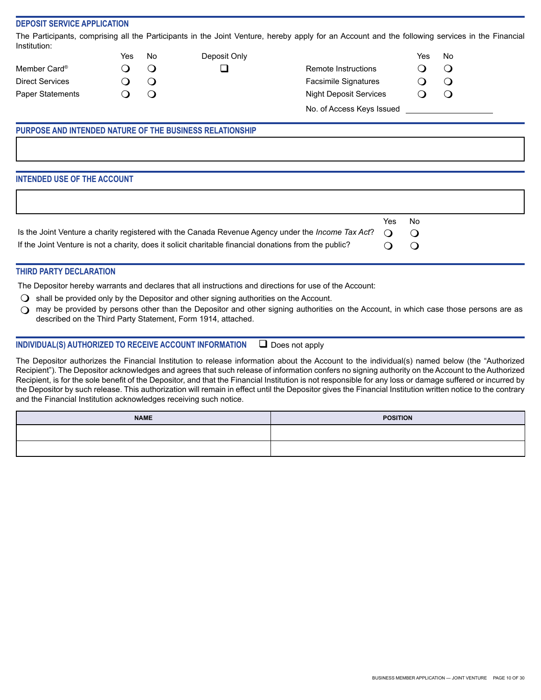## **DEPOSIT SERVICE APPLICATION**

The Participants, comprising all the Participants in the Joint Venture, hereby apply for an Account and the following services in the Financial Institution:

|                          | Yes | No     | Deposit Only |                               | Yes | No     |  |
|--------------------------|-----|--------|--------------|-------------------------------|-----|--------|--|
| Member Card <sup>®</sup> |     | $\cup$ | ⊔            | Remote Instructions           |     | Ĵ      |  |
| <b>Direct Services</b>   |     | Ő      |              | <b>Facsimile Signatures</b>   |     | J      |  |
| <b>Paper Statements</b>  |     | $\cup$ |              | <b>Night Deposit Services</b> |     | $\cup$ |  |
|                          |     |        |              | No. of Access Keys Issued     |     |        |  |

## **PURPOSE AND INTENDED NATURE OF THE BUSINESS RELATIONSHIP**

## **INTENDED USE OF THE ACCOUNT**

|                                                                                                                                  | Yes No  |  |
|----------------------------------------------------------------------------------------------------------------------------------|---------|--|
| Is the Joint Venture a charity registered with the Canada Revenue Agency under the <i>Income Tax Act</i> ? $\bigcirc$ $\bigcirc$ |         |  |
| If the Joint Venture is not a charity, does it solicit charitable financial donations from the public?                           | $O$ $O$ |  |
|                                                                                                                                  |         |  |

## **THIRD PARTY DECLARATION**

The Depositor hereby warrants and declares that all instructions and directions for use of the Account:

- $\Box$  shall be provided only by the Depositor and other signing authorities on the Account.
- $\bigcirc$  may be provided by persons other than the Depositor and other signing authorities on the Account, in which case those persons are as described on the Third Party Statement, Form 1914, attached.

## **INDIVIDUAL(S) AUTHORIZED TO RECEIVE ACCOUNT INFORMATION**  $\Box$  Does not apply

The Depositor authorizes the Financial Institution to release information about the Account to the individual(s) named below (the "Authorized Recipient"). The Depositor acknowledges and agrees that such release of information confers no signing authority on the Account to the Authorized Recipient, is for the sole benefit of the Depositor, and that the Financial Institution is not responsible for any loss or damage suffered or incurred by the Depositor by such release. This authorization will remain in effect until the Depositor gives the Financial Institution written notice to the contrary and the Financial Institution acknowledges receiving such notice.

| <b>NAME</b> | <b>POSITION</b> |
|-------------|-----------------|
|             |                 |
|             |                 |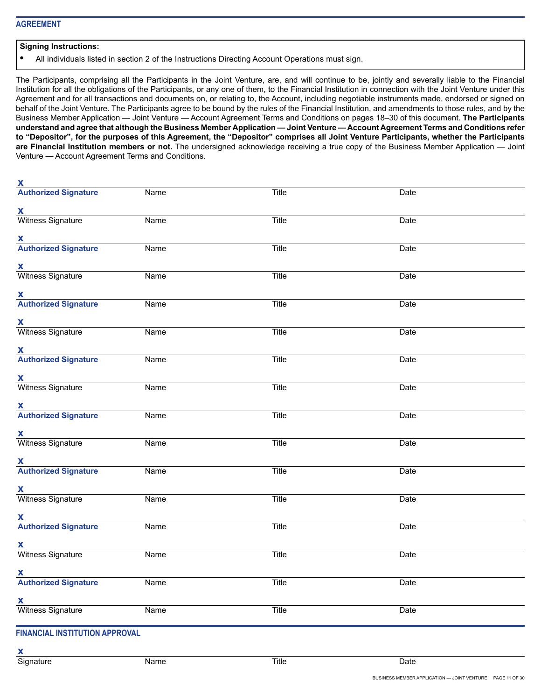## **Signing Instructions:**

**•** All individuals listed in section 2 of the Instructions Directing Account Operations must sign.

The Participants, comprising all the Participants in the Joint Venture, are, and will continue to be, jointly and severally liable to the Financial Institution for all the obligations of the Participants, or any one of them, to the Financial Institution in connection with the Joint Venture under this Agreement and for all transactions and documents on, or relating to, the Account, including negotiable instruments made, endorsed or signed on behalf of the Joint Venture. The Participants agree to be bound by the rules of the Financial Institution, and amendments to those rules, and by the Business Member Application — Joint Venture — Account Agreement Terms and Conditions on pages 18–30 of this document. **The Participants understand and agree that although the Business Member Application — Joint Venture — Account Agreement Terms and Conditions refer to "Depositor", for the purposes of this Agreement, the "Depositor" comprises all Joint Venture Participants, whether the Participants are Financial Institution members or not.** The undersigned acknowledge receiving a true copy of the Business Member Application — Joint Venture — Account Agreement Terms and Conditions.

| $\mathbf{x}$                                |             |              |             |  |
|---------------------------------------------|-------------|--------------|-------------|--|
| <b>Authorized Signature</b>                 | Name        | <b>Title</b> | Date        |  |
| X                                           |             |              |             |  |
| Witness Signature                           | <b>Name</b> | Title        | Date        |  |
| $\mathbf{X}$<br><b>Authorized Signature</b> | <b>Name</b> | <b>Title</b> | <b>Date</b> |  |
|                                             |             |              |             |  |
| <b>X</b>                                    |             |              |             |  |
| Witness Signature                           | <b>Name</b> | Title        | Date        |  |
| <b>X</b><br><b>Authorized Signature</b>     | Name        | Title        | Date        |  |
| X                                           |             |              |             |  |
| Witness Signature                           | <b>Name</b> | <b>Title</b> | Date        |  |
| X                                           |             |              |             |  |
| <b>Authorized Signature</b>                 | Name        | Title        | Date        |  |
| X                                           |             |              |             |  |
| Witness Signature                           | Name        | Title        | Date        |  |
| X                                           |             |              |             |  |
| <b>Authorized Signature</b>                 | <b>Name</b> | <b>Title</b> | Date        |  |
| X                                           |             |              |             |  |
| Witness Signature                           | <b>Name</b> | Title        | Date        |  |
| $\mathbf{X}$                                |             |              |             |  |
| <b>Authorized Signature</b>                 | Name        | Title        | Date        |  |
|                                             |             |              |             |  |
| X<br>Witness Signature                      | <b>Name</b> | Title        | <b>Date</b> |  |
|                                             |             |              |             |  |
| <b>X</b>                                    |             |              |             |  |
| <b>A</b><br>Authorized Signature            | <b>Name</b> | <b>Title</b> | <b>Date</b> |  |
| X                                           |             |              |             |  |
| Witness Signature                           | Name        | Title        | Date        |  |
| $\mathbf{X}$                                |             |              |             |  |
| Authorized Signature                        | <b>Name</b> | Title        | <b>Date</b> |  |
| X                                           |             |              |             |  |
| Witness Signature                           | <b>Name</b> | Title        | Date        |  |
|                                             |             |              |             |  |

# **FINANCIAL INSTITUTION APPROVAL**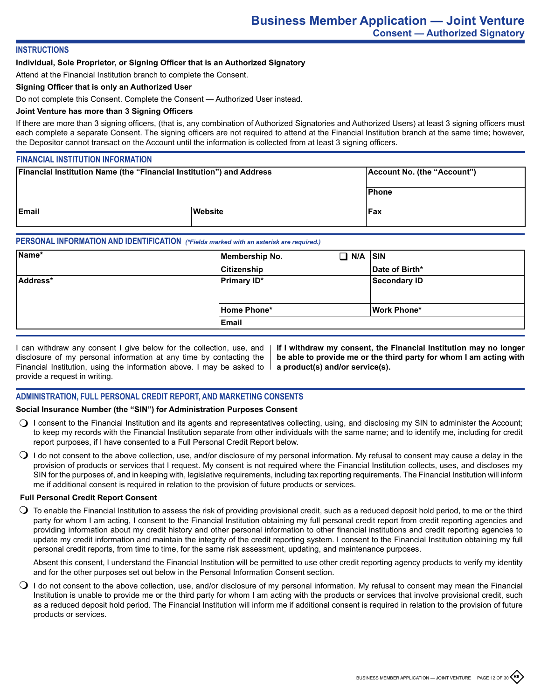## **INSTRUCTIONS**

## **Individual, Sole Proprietor, or Signing Officer that is an Authorized Signatory**

Attend at the Financial Institution branch to complete the Consent.

#### **Signing Officer that is only an Authorized User**

Do not complete this Consent. Complete the Consent — Authorized User instead.

## **Joint Venture has more than 3 Signing Officers**

If there are more than 3 signing officers, (that is, any combination of Authorized Signatories and Authorized Users) at least 3 signing officers must each complete a separate Consent. The signing officers are not required to attend at the Financial Institution branch at the same time; however, the Depositor cannot transact on the Account until the information is collected from at least 3 signing officers.

## **FINANCIAL INSTITUTION INFORMATION**

| <b>Financial Institution Name (the "Financial Institution") and Address</b> |       | Account No. (the "Account") |
|-----------------------------------------------------------------------------|-------|-----------------------------|
|                                                                             | Phone |                             |
| <b>IEmail</b><br>Website                                                    |       | Fax                         |

## **PERSONAL INFORMATION AND IDENTIFICATION** *(\*Fields marked with an asterisk are required.)*

| Name*    | Membership No.     | $\Box$ N/A $\vert$ SIN |                     |
|----------|--------------------|------------------------|---------------------|
|          | Citizenship        |                        | Date of Birth*      |
| Address* | <b>Primary ID*</b> |                        | <b>Secondary ID</b> |
|          |                    |                        |                     |
|          | Home Phone*        |                        | <b>Work Phone*</b>  |
|          | Email              |                        |                     |

I can withdraw any consent I give below for the collection, use, and disclosure of my personal information at any time by contacting the Financial Institution, using the information above. I may be asked to  $\parallel$ provide a request in writing.

**If I withdraw my consent, the Financial Institution may no longer be able to provide me or the third party for whom I am acting with a product(s) and/or service(s).**

## **ADMINISTRATION, FULL PERSONAL CREDIT REPORT, AND MARKETING CONSENTS**

#### **Social Insurance Number (the "SIN") for Administration Purposes Consent**

- ◯ I consent to the Financial Institution and its agents and representatives collecting, using, and disclosing my SIN to administer the Account; to keep my records with the Financial Institution separate from other individuals with the same name; and to identify me, including for credit report purposes, if I have consented to a Full Personal Credit Report below.
- $\bigcirc$  I do not consent to the above collection, use, and/or disclosure of my personal information. My refusal to consent may cause a delay in the provision of products or services that I request. My consent is not required where the Financial Institution collects, uses, and discloses my SIN for the purposes of, and in keeping with, legislative requirements, including tax reporting requirements. The Financial Institution will inform me if additional consent is required in relation to the provision of future products or services.

#### **Full Personal Credit Report Consent**

 $\bigcirc$  To enable the Financial Institution to assess the risk of providing provisional credit, such as a reduced deposit hold period, to me or the third party for whom I am acting, I consent to the Financial Institution obtaining my full personal credit report from credit reporting agencies and providing information about my credit history and other personal information to other financial institutions and credit reporting agencies to update my credit information and maintain the integrity of the credit reporting system. I consent to the Financial Institution obtaining my full personal credit reports, from time to time, for the same risk assessment, updating, and maintenance purposes.

Absent this consent, I understand the Financial Institution will be permitted to use other credit reporting agency products to verify my identity and for the other purposes set out below in the Personal Information Consent section.

 $\bigcirc$  I do not consent to the above collection, use, and/or disclosure of my personal information. My refusal to consent may mean the Financial Institution is unable to provide me or the third party for whom I am acting with the products or services that involve provisional credit, such as a reduced deposit hold period. The Financial Institution will inform me if additional consent is required in relation to the provision of future products or services.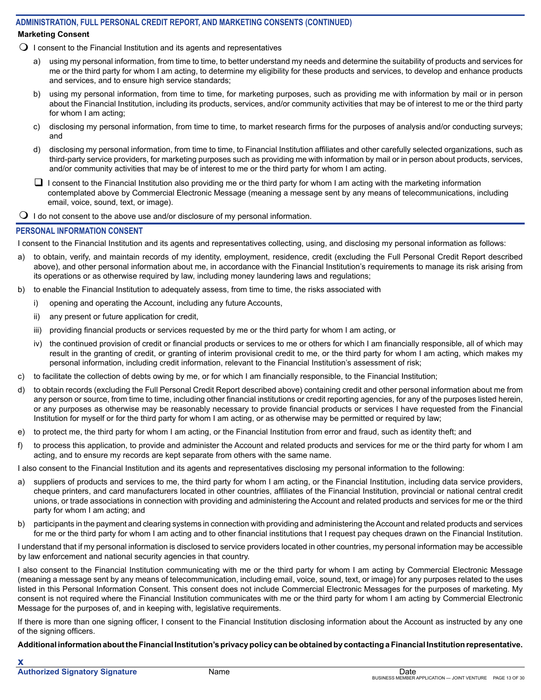## **ADMINISTRATION, FULL PERSONAL CREDIT REPORT, AND MARKETING CONSENTS (CONTINUED) Marketing Consent**

- $\bigcirc$  I consent to the Financial Institution and its agents and representatives
	- a) using my personal information, from time to time, to better understand my needs and determine the suitability of products and services for me or the third party for whom I am acting, to determine my eligibility for these products and services, to develop and enhance products and services, and to ensure high service standards;
	- b) using my personal information, from time to time, for marketing purposes, such as providing me with information by mail or in person about the Financial Institution, including its products, services, and/or community activities that may be of interest to me or the third party for whom I am acting;
	- c) disclosing my personal information, from time to time, to market research firms for the purposes of analysis and/or conducting surveys; and
	- d) disclosing my personal information, from time to time, to Financial Institution affiliates and other carefully selected organizations, such as third-party service providers, for marketing purposes such as providing me with information by mail or in person about products, services, and/or community activities that may be of interest to me or the third party for whom I am acting.
	- $\Box$  I consent to the Financial Institution also providing me or the third party for whom I am acting with the marketing information contemplated above by Commercial Electronic Message (meaning a message sent by any means of telecommunications, including email, voice, sound, text, or image).
- $\Omega$  I do not consent to the above use and/or disclosure of my personal information.

## **PERSONAL INFORMATION CONSENT**

I consent to the Financial Institution and its agents and representatives collecting, using, and disclosing my personal information as follows:

- a) to obtain, verify, and maintain records of my identity, employment, residence, credit (excluding the Full Personal Credit Report described above), and other personal information about me, in accordance with the Financial Institution's requirements to manage its risk arising from its operations or as otherwise required by law, including money laundering laws and regulations;
- b) to enable the Financial Institution to adequately assess, from time to time, the risks associated with
	- i) opening and operating the Account, including any future Accounts,
	- ii) any present or future application for credit,
	- iii) providing financial products or services requested by me or the third party for whom I am acting, or
	- iv) the continued provision of credit or financial products or services to me or others for which I am financially responsible, all of which may result in the granting of credit, or granting of interim provisional credit to me, or the third party for whom I am acting, which makes my personal information, including credit information, relevant to the Financial Institution's assessment of risk;
- c) to facilitate the collection of debts owing by me, or for which I am financially responsible, to the Financial Institution;
- d) to obtain records (excluding the Full Personal Credit Report described above) containing credit and other personal information about me from any person or source, from time to time, including other financial institutions or credit reporting agencies, for any of the purposes listed herein, or any purposes as otherwise may be reasonably necessary to provide financial products or services I have requested from the Financial Institution for myself or for the third party for whom I am acting, or as otherwise may be permitted or required by law;
- e) to protect me, the third party for whom I am acting, or the Financial Institution from error and fraud, such as identity theft; and
- f) to process this application, to provide and administer the Account and related products and services for me or the third party for whom I am acting, and to ensure my records are kept separate from others with the same name.

I also consent to the Financial Institution and its agents and representatives disclosing my personal information to the following:

- a) suppliers of products and services to me, the third party for whom I am acting, or the Financial Institution, including data service providers, cheque printers, and card manufacturers located in other countries, affiliates of the Financial Institution, provincial or national central credit unions, or trade associations in connection with providing and administering the Account and related products and services for me or the third party for whom I am acting; and
- b) participants in the payment and clearing systems in connection with providing and administering the Account and related products and services for me or the third party for whom I am acting and to other financial institutions that I request pay cheques drawn on the Financial Institution.

I understand that if my personal information is disclosed to service providers located in other countries, my personal information may be accessible by law enforcement and national security agencies in that country.

I also consent to the Financial Institution communicating with me or the third party for whom I am acting by Commercial Electronic Message (meaning a message sent by any means of telecommunication, including email, voice, sound, text, or image) for any purposes related to the uses listed in this Personal Information Consent. This consent does not include Commercial Electronic Messages for the purposes of marketing. My consent is not required where the Financial Institution communicates with me or the third party for whom I am acting by Commercial Electronic Message for the purposes of, and in keeping with, legislative requirements.

If there is more than one signing officer, I consent to the Financial Institution disclosing information about the Account as instructed by any one of the signing officers.

**Additional information about the Financial Institution's privacy policy can be obtained by contacting a Financial Institution representative.**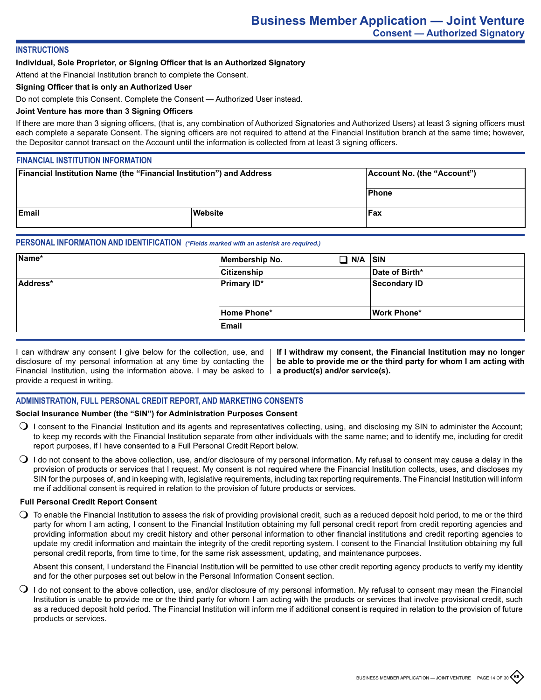## **INSTRUCTIONS**

## **Individual, Sole Proprietor, or Signing Officer that is an Authorized Signatory**

Attend at the Financial Institution branch to complete the Consent.

## **Signing Officer that is only an Authorized User**

Do not complete this Consent. Complete the Consent — Authorized User instead.

## **Joint Venture has more than 3 Signing Officers**

If there are more than 3 signing officers, (that is, any combination of Authorized Signatories and Authorized Users) at least 3 signing officers must each complete a separate Consent. The signing officers are not required to attend at the Financial Institution branch at the same time; however, the Depositor cannot transact on the Account until the information is collected from at least 3 signing officers.

## **FINANCIAL INSTITUTION INFORMATION**

| <b>Financial Institution Name (the "Financial Institution") and Address</b> |         | Account No. (the "Account") |
|-----------------------------------------------------------------------------|---------|-----------------------------|
|                                                                             |         | Phone                       |
| <b>IEmail</b>                                                               | Website | <b>Fax</b>                  |

## **PERSONAL INFORMATION AND IDENTIFICATION** *(\*Fields marked with an asterisk are required.)*

| Name*    | Membership No.     | $\Box$ N/A $\vert$ sin |                     |
|----------|--------------------|------------------------|---------------------|
|          | Citizenship        |                        | Date of Birth*      |
| Address* | <b>Primary ID*</b> |                        | <b>Secondary ID</b> |
|          |                    |                        |                     |
|          | Home Phone*        |                        | <b>Work Phone*</b>  |
|          | Email              |                        |                     |

I can withdraw any consent I give below for the collection, use, and disclosure of my personal information at any time by contacting the Financial Institution, using the information above. I may be asked to provide a request in writing.

**If I withdraw my consent, the Financial Institution may no longer be able to provide me or the third party for whom I am acting with a product(s) and/or service(s).**

## **ADMINISTRATION, FULL PERSONAL CREDIT REPORT, AND MARKETING CONSENTS**

### **Social Insurance Number (the "SIN") for Administration Purposes Consent**

- $\bigcirc$  I consent to the Financial Institution and its agents and representatives collecting, using, and disclosing my SIN to administer the Account; to keep my records with the Financial Institution separate from other individuals with the same name; and to identify me, including for credit report purposes, if I have consented to a Full Personal Credit Report below.
- $\bigcirc$  I do not consent to the above collection, use, and/or disclosure of my personal information. My refusal to consent may cause a delay in the provision of products or services that I request. My consent is not required where the Financial Institution collects, uses, and discloses my SIN for the purposes of, and in keeping with, legislative requirements, including tax reporting requirements. The Financial Institution will inform me if additional consent is required in relation to the provision of future products or services.

#### **Full Personal Credit Report Consent**

 $\bigcirc$  To enable the Financial Institution to assess the risk of providing provisional credit, such as a reduced deposit hold period, to me or the third party for whom I am acting, I consent to the Financial Institution obtaining my full personal credit report from credit reporting agencies and providing information about my credit history and other personal information to other financial institutions and credit reporting agencies to update my credit information and maintain the integrity of the credit reporting system. I consent to the Financial Institution obtaining my full personal credit reports, from time to time, for the same risk assessment, updating, and maintenance purposes.

Absent this consent, I understand the Financial Institution will be permitted to use other credit reporting agency products to verify my identity and for the other purposes set out below in the Personal Information Consent section.

 $\bigcirc$  I do not consent to the above collection, use, and/or disclosure of my personal information. My refusal to consent may mean the Financial Institution is unable to provide me or the third party for whom I am acting with the products or services that involve provisional credit, such as a reduced deposit hold period. The Financial Institution will inform me if additional consent is required in relation to the provision of future products or services.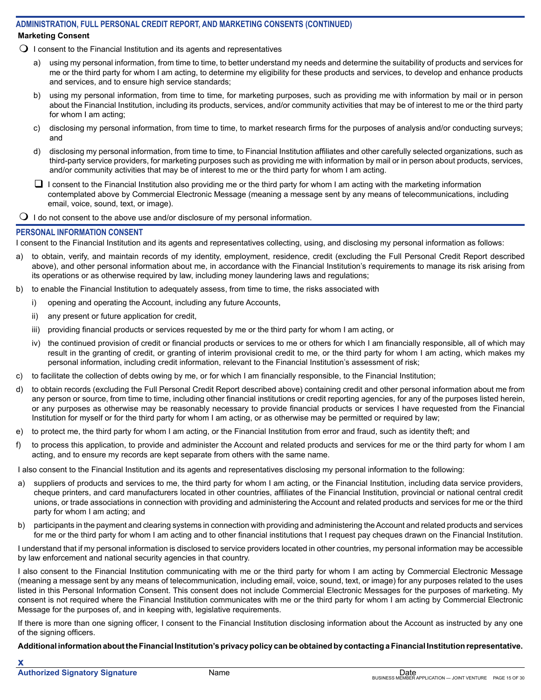## **ADMINISTRATION, FULL PERSONAL CREDIT REPORT, AND MARKETING CONSENTS (CONTINUED) Marketing Consent**

 $\Omega$  I consent to the Financial Institution and its agents and representatives

- a) using my personal information, from time to time, to better understand my needs and determine the suitability of products and services for me or the third party for whom I am acting, to determine my eligibility for these products and services, to develop and enhance products and services, and to ensure high service standards;
- b) using my personal information, from time to time, for marketing purposes, such as providing me with information by mail or in person about the Financial Institution, including its products, services, and/or community activities that may be of interest to me or the third party for whom I am acting;
- c) disclosing my personal information, from time to time, to market research firms for the purposes of analysis and/or conducting surveys; and
- d) disclosing my personal information, from time to time, to Financial Institution affiliates and other carefully selected organizations, such as third-party service providers, for marketing purposes such as providing me with information by mail or in person about products, services, and/or community activities that may be of interest to me or the third party for whom I am acting.
- $\Box$  I consent to the Financial Institution also providing me or the third party for whom I am acting with the marketing information contemplated above by Commercial Electronic Message (meaning a message sent by any means of telecommunications, including email, voice, sound, text, or image).

 $\Omega$  I do not consent to the above use and/or disclosure of my personal information.

## **PERSONAL INFORMATION CONSENT**

I consent to the Financial Institution and its agents and representatives collecting, using, and disclosing my personal information as follows:

- a) to obtain, verify, and maintain records of my identity, employment, residence, credit (excluding the Full Personal Credit Report described above), and other personal information about me, in accordance with the Financial Institution's requirements to manage its risk arising from its operations or as otherwise required by law, including money laundering laws and regulations;
- b) to enable the Financial Institution to adequately assess, from time to time, the risks associated with
	- i) opening and operating the Account, including any future Accounts,
	- ii) any present or future application for credit,
	- iii) providing financial products or services requested by me or the third party for whom I am acting, or
	- iv) the continued provision of credit or financial products or services to me or others for which I am financially responsible, all of which may result in the granting of credit, or granting of interim provisional credit to me, or the third party for whom I am acting, which makes my personal information, including credit information, relevant to the Financial Institution's assessment of risk;
- c) to facilitate the collection of debts owing by me, or for which I am financially responsible, to the Financial Institution;
- d) to obtain records (excluding the Full Personal Credit Report described above) containing credit and other personal information about me from any person or source, from time to time, including other financial institutions or credit reporting agencies, for any of the purposes listed herein, or any purposes as otherwise may be reasonably necessary to provide financial products or services I have requested from the Financial Institution for myself or for the third party for whom I am acting, or as otherwise may be permitted or required by law;
- e) to protect me, the third party for whom I am acting, or the Financial Institution from error and fraud, such as identity theft; and
- f) to process this application, to provide and administer the Account and related products and services for me or the third party for whom I am acting, and to ensure my records are kept separate from others with the same name.

I also consent to the Financial Institution and its agents and representatives disclosing my personal information to the following:

- a) suppliers of products and services to me, the third party for whom I am acting, or the Financial Institution, including data service providers, cheque printers, and card manufacturers located in other countries, affiliates of the Financial Institution, provincial or national central credit unions, or trade associations in connection with providing and administering the Account and related products and services for me or the third party for whom I am acting; and
- b) participants in the payment and clearing systems in connection with providing and administering the Account and related products and services for me or the third party for whom I am acting and to other financial institutions that I request pay cheques drawn on the Financial Institution.

I understand that if my personal information is disclosed to service providers located in other countries, my personal information may be accessible by law enforcement and national security agencies in that country.

I also consent to the Financial Institution communicating with me or the third party for whom I am acting by Commercial Electronic Message (meaning a message sent by any means of telecommunication, including email, voice, sound, text, or image) for any purposes related to the uses listed in this Personal Information Consent. This consent does not include Commercial Electronic Messages for the purposes of marketing. My consent is not required where the Financial Institution communicates with me or the third party for whom I am acting by Commercial Electronic Message for the purposes of, and in keeping with, legislative requirements.

If there is more than one signing officer, I consent to the Financial Institution disclosing information about the Account as instructed by any one of the signing officers.

**Additional information about the Financial Institution's privacy policy can be obtained by contacting a Financial Institution representative.**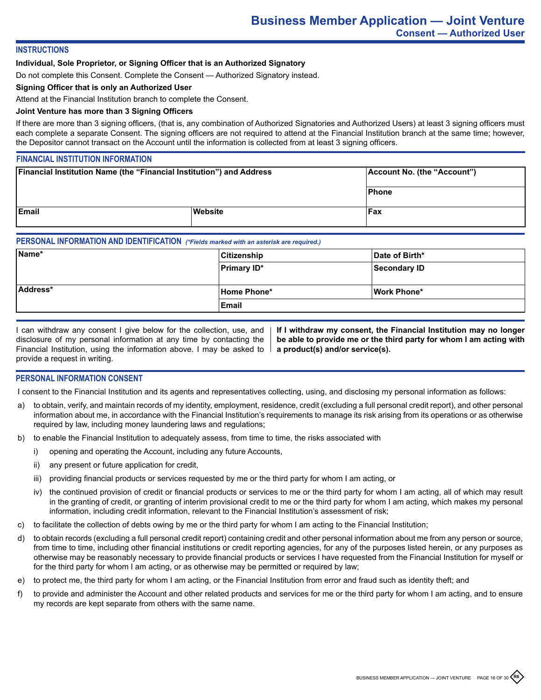## **INSTRUCTIONS**

## **Individual, Sole Proprietor, or Signing Officer that is an Authorized Signatory**

Do not complete this Consent. Complete the Consent — Authorized Signatory instead.

## **Signing Officer that is only an Authorized User**

Attend at the Financial Institution branch to complete the Consent.

## **Joint Venture has more than 3 Signing Officers**

If there are more than 3 signing officers, (that is, any combination of Authorized Signatories and Authorized Users) at least 3 signing officers must each complete a separate Consent. The signing officers are not required to attend at the Financial Institution branch at the same time; however, the Depositor cannot transact on the Account until the information is collected from at least 3 signing officers.

## **FINANCIAL INSTITUTION INFORMATION**

| <b>Financial Institution Name (the "Financial Institution") and Address</b> |         | Account No. (the "Account") |
|-----------------------------------------------------------------------------|---------|-----------------------------|
|                                                                             |         | Phone                       |
| <b>IEmail</b>                                                               | Website | <b>Fax</b>                  |

## **PERSONAL INFORMATION AND IDENTIFICATION** *(\*Fields marked with an asterisk are required.)*

| Name*    | Citizenship        | Date of Birth* |
|----------|--------------------|----------------|
|          | <b>Primary ID*</b> | Secondary ID   |
|          |                    |                |
| Address* | Home Phone*        | Work Phone*    |
|          | Email              |                |

I can withdraw any consent I give below for the collection, use, and disclosure of my personal information at any time by contacting the Financial Institution, using the information above. I may be asked to provide a request in writing.

**If I withdraw my consent, the Financial Institution may no longer be able to provide me or the third party for whom I am acting with a product(s) and/or service(s).**

## **PERSONAL INFORMATION CONSENT**

I consent to the Financial Institution and its agents and representatives collecting, using, and disclosing my personal information as follows:

- a) to obtain, verify, and maintain records of my identity, employment, residence, credit (excluding a full personal credit report), and other personal information about me, in accordance with the Financial Institution's requirements to manage its risk arising from its operations or as otherwise required by law, including money laundering laws and regulations;
- b) to enable the Financial Institution to adequately assess, from time to time, the risks associated with
	- i) opening and operating the Account, including any future Accounts,
	- ii) any present or future application for credit,
	- iii) providing financial products or services requested by me or the third party for whom I am acting, or
	- iv) the continued provision of credit or financial products or services to me or the third party for whom I am acting, all of which may result in the granting of credit, or granting of interim provisional credit to me or the third party for whom I am acting, which makes my personal information, including credit information, relevant to the Financial Institution's assessment of risk;
- c) to facilitate the collection of debts owing by me or the third party for whom I am acting to the Financial Institution;
- d) to obtain records (excluding a full personal credit report) containing credit and other personal information about me from any person or source, from time to time, including other financial institutions or credit reporting agencies, for any of the purposes listed herein, or any purposes as otherwise may be reasonably necessary to provide financial products or services I have requested from the Financial Institution for myself or for the third party for whom I am acting, or as otherwise may be permitted or required by law;
- e) to protect me, the third party for whom I am acting, or the Financial Institution from error and fraud such as identity theft; and
- f) to provide and administer the Account and other related products and services for me or the third party for whom I am acting, and to ensure my records are kept separate from others with the same name.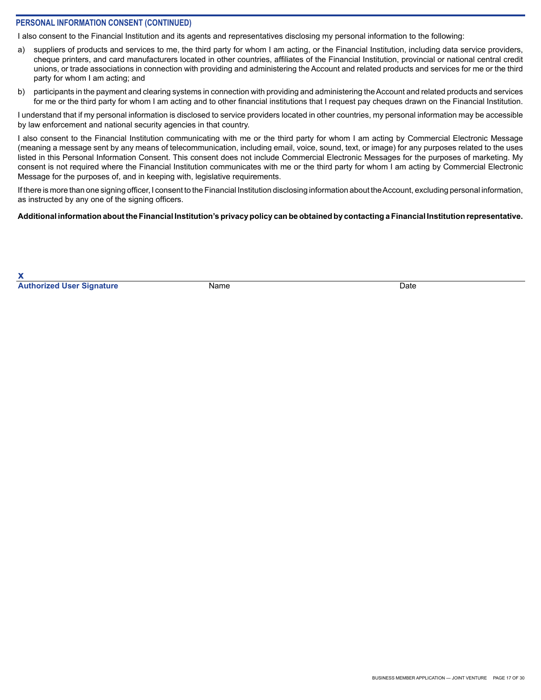## **PERSONAL INFORMATION CONSENT (CONTINUED)**

I also consent to the Financial Institution and its agents and representatives disclosing my personal information to the following:

- a) suppliers of products and services to me, the third party for whom I am acting, or the Financial Institution, including data service providers, cheque printers, and card manufacturers located in other countries, affiliates of the Financial Institution, provincial or national central credit unions, or trade associations in connection with providing and administering the Account and related products and services for me or the third party for whom I am acting; and
- b) participants in the payment and clearing systems in connection with providing and administering the Account and related products and services for me or the third party for whom I am acting and to other financial institutions that I request pay cheques drawn on the Financial Institution.

I understand that if my personal information is disclosed to service providers located in other countries, my personal information may be accessible by law enforcement and national security agencies in that country.

I also consent to the Financial Institution communicating with me or the third party for whom I am acting by Commercial Electronic Message (meaning a message sent by any means of telecommunication, including email, voice, sound, text, or image) for any purposes related to the uses listed in this Personal Information Consent. This consent does not include Commercial Electronic Messages for the purposes of marketing. My consent is not required where the Financial Institution communicates with me or the third party for whom I am acting by Commercial Electronic Message for the purposes of, and in keeping with, legislative requirements.

If there is more than one signing officer, I consent to the Financial Institution disclosing information about the Account, excluding personal information, as instructed by any one of the signing officers.

## **Additional information about the Financial Institution's privacy policy can be obtained by contacting a Financial Institution representative.**

**x Authorized User Signature** Name Name **Name Date** Date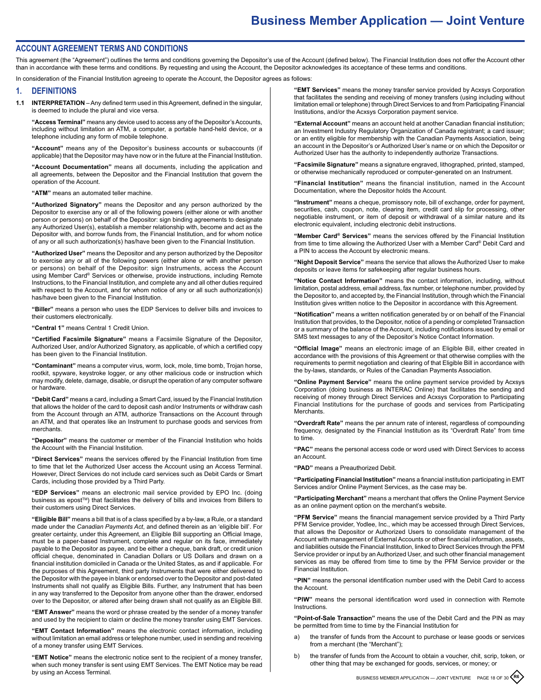#### **ACCOUNT AGREEMENT TERMS AND CONDITIONS**

This agreement (the "Agreement") outlines the terms and conditions governing the Depositor's use of the Account (defined below). The Financial Institution does not offer the Account other than in accordance with these terms and conditions. By requesting and using the Account, the Depositor acknowledges its acceptance of these terms and conditions.

In consideration of the Financial Institution agreeing to operate the Account, the Depositor agrees as follows:

#### **1. DEFINITIONS**

**1.1 INTERPRETATION** – Any defined term used in this Agreement, defined in the singular, is deemed to include the plural and vice versa.

**"Access Terminal"** means any device used to access any of the Depositor's Accounts, including without limitation an ATM, a computer, a portable hand-held device, or a telephone including any form of mobile telephone.

**"Account"** means any of the Depositor's business accounts or subaccounts (if applicable) that the Depositor may have now or in the future at the Financial Institution.

**"Account Documentation"** means all documents, including the application and all agreements, between the Depositor and the Financial Institution that govern the operation of the Account.

**"ATM"** means an automated teller machine.

**"Authorized Signatory"** means the Depositor and any person authorized by the Depositor to exercise any or all of the following powers (either alone or with another person or persons) on behalf of the Depositor: sign binding agreements to designate any Authorized User(s), establish a member relationship with, become and act as the Depositor with, and borrow funds from, the Financial Institution, and for whom notice of any or all such authorization(s) has/have been given to the Financial Institution.

**"Authorized User"** means the Depositor and any person authorized by the Depositor to exercise any or all of the following powers (either alone or with another person or persons) on behalf of the Depositor: sign Instruments, access the Account using Member Card® Services or otherwise, provide instructions, including Remote Instructions, to the Financial Institution, and complete any and all other duties required with respect to the Account, and for whom notice of any or all such authorization(s) has/have been given to the Financial Institution.

**"Biller"** means a person who uses the EDP Services to deliver bills and invoices to their customers electronically.

**"Central 1"** means Central 1 Credit Union.

**"Certified Facsimile Signature"** means a Facsimile Signature of the Depositor, Authorized User, and/or Authorized Signatory, as applicable, of which a certified copy has been given to the Financial Institution.

**"Contaminant"** means a computer virus, worm, lock, mole, time bomb, Trojan horse, rootkit, spyware, keystroke logger, or any other malicious code or instruction which may modify, delete, damage, disable, or disrupt the operation of any computer software or hardware.

**"Debit Card"** means a card, including a Smart Card, issued by the Financial Institution that allows the holder of the card to deposit cash and/or Instruments or withdraw cash from the Account through an ATM, authorize Transactions on the Account through an ATM, and that operates like an Instrument to purchase goods and services from merchants.

**"Depositor"** means the customer or member of the Financial Institution who holds the Account with the Financial Institution.

**"Direct Services"** means the services offered by the Financial Institution from time to time that let the Authorized User access the Account using an Access Terminal. However, Direct Services do not include card services such as Debit Cards or Smart Cards, including those provided by a Third Party.

**"EDP Services"** means an electronic mail service provided by EPO Inc. (doing business as epost™) that facilitates the delivery of bills and invoices from Billers to their customers using Direct Services.

**"Eligible Bill"** means a bill that is of a class specified by a by-law, a Rule, or a standard made under the *Canadian Payments Act*, and defined therein as an 'eligible bill'. For greater certainty, under this Agreement, an Eligible Bill supporting an Official Image, must be a paper-based Instrument, complete and regular on its face, immediately payable to the Depositor as payee, and be either a cheque, bank draft, or credit union official cheque, denominated in Canadian Dollars or US Dollars and drawn on a financial institution domiciled in Canada or the United States, as and if applicable. For the purposes of this Agreement, third party Instruments that were either delivered to the Depositor with the payee in blank or endorsed over to the Depositor and post-dated Instruments shall not qualify as Eligible Bills. Further, any Instrument that has been in any way transferred to the Depositor from anyone other than the drawer, endorsed over to the Depositor, or altered after being drawn shall not qualify as an Eligible Bill.

**"EMT Answer"** means the word or phrase created by the sender of a money transfer and used by the recipient to claim or decline the money transfer using EMT Services.

**"EMT Contact Information"** means the electronic contact information, including without limitation an email address or telephone number, used in sending and receiving of a money transfer using EMT Services.

**"EMT Notice"** means the electronic notice sent to the recipient of a money transfer, when such money transfer is sent using EMT Services. The EMT Notice may be read by using an Access Terminal.

**"EMT Services"** means the money transfer service provided by Acxsys Corporation that facilitates the sending and receiving of money transfers (using including without limitation email or telephone) through Direct Services to and from Participating Financial Institutions, and/or the Acxsys Corporation payment service.

**"External Account"** means an account held at another Canadian financial institution; an Investment Industry Regulatory Organization of Canada registrant; a card issuer; or an entity eligible for membership with the Canadian Payments Association, being an account in the Depositor's or Authorized User's name or on which the Depositor or Authorized User has the authority to independently authorize Transactions.

**"Facsimile Signature"** means a signature engraved, lithographed, printed, stamped, or otherwise mechanically reproduced or computer-generated on an Instrument.

**"Financial Institution"** means the financial institution, named in the Account Documentation, where the Depositor holds the Account.

**"Instrument"** means a cheque, promissory note, bill of exchange, order for payment, securities, cash, coupon, note, clearing item, credit card slip for processing, other negotiable instrument, or item of deposit or withdrawal of a similar nature and its electronic equivalent, including electronic debit instructions.

**"Member Card® Services"** means the services offered by the Financial Institution from time to time allowing the Authorized User with a Member Card® Debit Card and a PIN to access the Account by electronic means.

**"Night Deposit Service"** means the service that allows the Authorized User to make deposits or leave items for safekeeping after regular business hours.

**"Notice Contact Information"** means the contact information, including, without limitation, postal address, email address, fax number, or telephone number, provided by the Depositor to, and accepted by, the Financial Institution, through which the Financial Institution gives written notice to the Depositor in accordance with this Agreement.

**"Notification"** means a written notification generated by or on behalf of the Financial Institution that provides, to the Depositor, notice of a pending or completed Transaction or a summary of the balance of the Account, including notifications issued by email or SMS text messages to any of the Depositor's Notice Contact Information.

**"Official Image"** means an electronic image of an Eligible Bill, either created in accordance with the provisions of this Agreement or that otherwise complies with the requirements to permit negotiation and clearing of that Eligible Bill in accordance with the by-laws, standards, or Rules of the Canadian Payments Association.

**"Online Payment Service"** means the online payment service provided by Acxsys Corporation (doing business as INTERAC Online) that facilitates the sending and receiving of money through Direct Services and Acxsys Corporation to Participating Financial Institutions for the purchase of goods and services from Participating **Merchants** 

**"Overdraft Rate"** means the per annum rate of interest, regardless of compounding frequency, designated by the Financial Institution as its "Overdraft Rate" from time to time.

**"PAC"** means the personal access code or word used with Direct Services to access an Account.

**"PAD"** means a Preauthorized Debit.

**"Participating Financial Institution"** means a financial institution participating in EMT Services and/or Online Payment Services, as the case may be.

**"Participating Merchant"** means a merchant that offers the Online Payment Service as an online payment option on the merchant's website.

**"PFM Service"** means the financial management service provided by a Third Party PFM Service provider, Yodlee, Inc., which may be accessed through Direct Services, that allows the Depositor or Authorized Users to consolidate management of the Account with management of External Accounts or other financial information, assets, and liabilities outside the Financial Institution, linked to Direct Services through the PFM Service provider or input by an Authorized User, and such other financial management services as may be offered from time to time by the PFM Service provider or the Financial Institution.

**"PIN"** means the personal identification number used with the Debit Card to access the Account.

**"PIW"** means the personal identification word used in connection with Remote **Instructions** 

**"Point-of-Sale Transaction"** means the use of the Debit Card and the PIN as may be permitted from time to time by the Financial Institution for

- a) the transfer of funds from the Account to purchase or lease goods or services from a merchant (the "Merchant");
- b) the transfer of funds from the Account to obtain a voucher, chit, scrip, token, or other thing that may be exchanged for goods, services, or money; or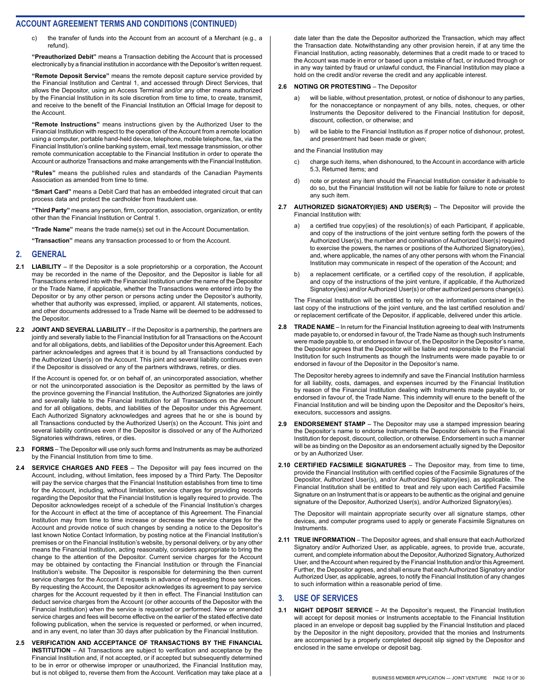c) the transfer of funds into the Account from an account of a Merchant (e.g., a refund).

**"Preauthorized Debit"** means a Transaction debiting the Account that is processed electronically by a financial institution in accordance with the Depositor's written request.

**"Remote Deposit Service"** means the remote deposit capture service provided by the Financial Institution and Central 1, and accessed through Direct Services, that allows the Depositor, using an Access Terminal and/or any other means authorized by the Financial Institution in its sole discretion from time to time, to create, transmit, and receive to the benefit of the Financial Institution an Official Image for deposit to the Account.

**"Remote Instructions"** means instructions given by the Authorized User to the Financial Institution with respect to the operation of the Account from a remote location using a computer, portable hand-held device, telephone, mobile telephone, fax, via the Financial Institution's online banking system, email, text message transmission, or other remote communication acceptable to the Financial Institution in order to operate the Account or authorize Transactions and make arrangements with the Financial Institution.

**"Rules"** means the published rules and standards of the Canadian Payments Association as amended from time to time.

**"Smart Card"** means a Debit Card that has an embedded integrated circuit that can process data and protect the cardholder from fraudulent use.

**"Third Party"** means any person, firm, corporation, association, organization, or entity other than the Financial Institution or Central 1.

**"Trade Name"** means the trade name(s) set out in the Account Documentation.

**"Transaction"** means any transaction processed to or from the Account.

#### **2. GENERAL**

- **2.1 LIABILITY** If the Depositor is a sole proprietorship or a corporation, the Account may be recorded in the name of the Depositor, and the Depositor is liable for all Transactions entered into with the Financial Institution under the name of the Depositor or the Trade Name, if applicable, whether the Transactions were entered into by the Depositor or by any other person or persons acting under the Depositor's authority, whether that authority was expressed, implied, or apparent. All statements, notices, and other documents addressed to a Trade Name will be deemed to be addressed to the Depositor.
- **2.2 JOINT AND SEVERAL LIABILITY** If the Depositor is a partnership, the partners are jointly and severally liable to the Financial Institution for all Transactions on the Account and for all obligations, debts, and liabilities of the Depositor under this Agreement. Each partner acknowledges and agrees that it is bound by all Transactions conducted by the Authorized User(s) on the Account. This joint and several liability continues even if the Depositor is dissolved or any of the partners withdraws, retires, or dies.

If the Account is opened for, or on behalf of, an unincorporated association, whether or not the unincorporated association is the Depositor as permitted by the laws of the province governing the Financial Institution, the Authorized Signatories are jointly and severally liable to the Financial Institution for all Transactions on the Account and for all obligations, debts, and liabilities of the Depositor under this Agreement. Each Authorized Signatory acknowledges and agrees that he or she is bound by all Transactions conducted by the Authorized User(s) on the Account. This joint and several liability continues even if the Depositor is dissolved or any of the Authorized Signatories withdraws, retires, or dies.

- **2.3 FORMS** The Depositor will use only such forms and Instruments as may be authorized by the Financial Institution from time to time.
- **2.4 SERVICE CHARGES AND FEES** The Depositor will pay fees incurred on the Account, including, without limitation, fees imposed by a Third Party. The Depositor will pay the service charges that the Financial Institution establishes from time to time for the Account, including, without limitation, service charges for providing records regarding the Depositor that the Financial Institution is legally required to provide. The Depositor acknowledges receipt of a schedule of the Financial Institution's charges for the Account in effect at the time of acceptance of this Agreement. The Financial Institution may from time to time increase or decrease the service charges for the Account and provide notice of such changes by sending a notice to the Depositor's last known Notice Contact Information, by posting notice at the Financial Institution's premises or on the Financial Institution's website, by personal delivery, or by any other means the Financial Institution, acting reasonably, considers appropriate to bring the change to the attention of the Depositor. Current service charges for the Account may be obtained by contacting the Financial Institution or through the Financial Institution's website. The Depositor is responsible for determining the then current service charges for the Account it requests in advance of requesting those services. By requesting the Account, the Depositor acknowledges its agreement to pay service charges for the Account requested by it then in effect. The Financial Institution can deduct service charges from the Account (or other accounts of the Depositor with the Financial Institution) when the service is requested or performed. New or amended service charges and fees will become effective on the earlier of the stated effective date following publication, when the service is requested or performed, or when incurred, and in any event, no later than 30 days after publication by the Financial Institution.
- **2.5 VERIFICATION AND ACCEPTANCE OF TRANSACTIONS BY THE FINANCIAL INSTITUTION** – All Transactions are subject to verification and acceptance by the Financial Institution and, if not accepted, or if accepted but subsequently determined to be in error or otherwise improper or unauthorized, the Financial Institution may, but is not obliged to, reverse them from the Account. Verification may take place at a

date later than the date the Depositor authorized the Transaction, which may affect the Transaction date. Notwithstanding any other provision herein, if at any time the Financial Institution, acting reasonably, determines that a credit made to or traced to the Account was made in error or based upon a mistake of fact, or induced through or in any way tainted by fraud or unlawful conduct, the Financial Institution may place a hold on the credit and/or reverse the credit and any applicable interest.

#### **2.6 NOTING OR PROTESTING** – The Depositor

- a) will be liable, without presentation, protest, or notice of dishonour to any parties, for the nonacceptance or nonpayment of any bills, notes, cheques, or other Instruments the Depositor delivered to the Financial Institution for deposit, discount, collection, or otherwise; and
- b) will be liable to the Financial Institution as if proper notice of dishonour, protest, and presentment had been made or given;

and the Financial Institution may

- c) charge such items, when dishonoured, to the Account in accordance with article 5.3, Returned Items; and
- d) note or protest any item should the Financial Institution consider it advisable to do so, but the Financial Institution will not be liable for failure to note or protest any such item.
- **2.7 AUTHORIZED SIGNATORY(IES) AND USER(S)** The Depositor will provide the Financial Institution with:
	- a) a certified true copy(ies) of the resolution(s) of each Participant, if applicable, and copy of the instructions of the joint venture setting forth the powers of the Authorized User(s), the number and combination of Authorized User(s) required to exercise the powers, the names or positions of the Authorized Signatory(ies), and, where applicable, the names of any other persons with whom the Financial Institution may communicate in respect of the operation of the Account; and
	- b) a replacement certificate, or a certified copy of the resolution, if applicable, and copy of the instructions of the joint venture, if applicable, if the Authorized Signatory(ies) and/or Authorized User(s) or other authorized persons change(s).

The Financial Institution will be entitled to rely on the information contained in the last copy of the instructions of the joint venture, and the last certified resolution and/ or replacement certificate of the Depositor, if applicable, delivered under this article.

**2.8 TRADE NAME** – In return for the Financial Institution agreeing to deal with Instruments made payable to, or endorsed in favour of, the Trade Name as though such Instruments were made payable to, or endorsed in favour of, the Depositor in the Depositor's name, the Depositor agrees that the Depositor will be liable and responsible to the Financial Institution for such Instruments as though the Instruments were made payable to or endorsed in favour of the Depositor in the Depositor's name.

The Depositor hereby agrees to indemnify and save the Financial Institution harmless for all liability, costs, damages, and expenses incurred by the Financial Institution by reason of the Financial Institution dealing with Instruments made payable to, or endorsed in favour of, the Trade Name. This indemnity will enure to the benefit of the Financial Institution and will be binding upon the Depositor and the Depositor's heirs, executors, successors and assigns.

- **2.9 ENDORSEMENT STAMP** The Depositor may use a stamped impression bearing the Depositor's name to endorse Instruments the Depositor delivers to the Financial Institution for deposit, discount, collection, or otherwise. Endorsement in such a manner will be as binding on the Depositor as an endorsement actually signed by the Depositor or by an Authorized User.
- **2.10 CERTIFIED FACSIMILE SIGNATURES** The Depositor may, from time to time, provide the Financial Institution with certified copies of the Facsimile Signatures of the Depositor, Authorized User(s), and/or Authorized Signatory(ies), as applicable. The Financial Institution shall be entitled to treat and rely upon each Certified Facsimile Signature on an Instrument that is or appears to be authentic as the original and genuine signature of the Depositor, Authorized User(s), and/or Authorized Signatory(ies).

The Depositor will maintain appropriate security over all signature stamps, other devices, and computer programs used to apply or generate Facsimile Signatures on Instruments.

**2.11 TRUE INFORMATION** – The Depositor agrees, and shall ensure that each Authorized Signatory and/or Authorized User, as applicable, agrees, to provide true, accurate, current, and complete information about the Depositor, Authorized Signatory, Authorized User, and the Account when required by the Financial Institution and/or this Agreement. Further, the Depositor agrees, and shall ensure that each Authorized Signatory and/or Authorized User, as applicable, agrees, to notify the Financial Institution of any changes to such information within a reasonable period of time.

#### **3. USE OF SERVICES**

**3.1 NIGHT DEPOSIT SERVICE** – At the Depositor's request, the Financial Institution will accept for deposit monies or Instruments acceptable to the Financial Institution placed in an envelope or deposit bag supplied by the Financial Institution and placed by the Depositor in the night depository, provided that the monies and Instruments are accompanied by a properly completed deposit slip signed by the Depositor and enclosed in the same envelope or deposit bag.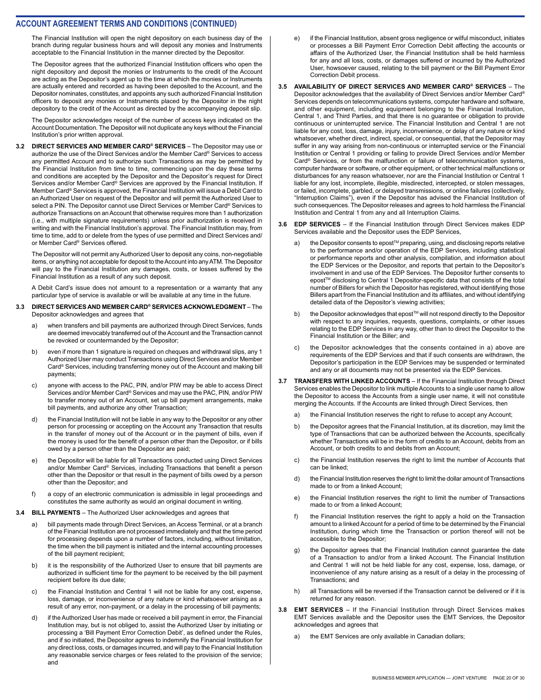The Financial Institution will open the night depository on each business day of the branch during regular business hours and will deposit any monies and Instruments acceptable to the Financial Institution in the manner directed by the Depositor.

The Depositor agrees that the authorized Financial Institution officers who open the night depository and deposit the monies or Instruments to the credit of the Account are acting as the Depositor's agent up to the time at which the monies or Instruments are actually entered and recorded as having been deposited to the Account, and the Depositor nominates, constitutes, and appoints any such authorized Financial Institution officers to deposit any monies or Instruments placed by the Depositor in the night depository to the credit of the Account as directed by the accompanying deposit slip.

The Depositor acknowledges receipt of the number of access keys indicated on the Account Documentation. The Depositor will not duplicate any keys without the Financial Institution's prior written approval.

**3.2 DIRECT SERVICES AND MEMBER CARD® SERVICES** – The Depositor may use or authorize the use of the Direct Services and/or the Member Card® Services to access any permitted Account and to authorize such Transactions as may be permitted by the Financial Institution from time to time, commencing upon the day these terms and conditions are accepted by the Depositor and the Depositor's request for Direct Services and/or Member Card® Services are approved by the Financial Institution. If Member Card® Services is approved, the Financial Institution will issue a Debit Card to an Authorized User on request of the Depositor and will permit the Authorized User to select a PIN. The Depositor cannot use Direct Services or Member Card® Services to authorize Transactions on an Account that otherwise requires more than 1 authorization (i.e., with multiple signature requirements) unless prior authorization is received in writing and with the Financial Institution's approval. The Financial Institution may, from time to time, add to or delete from the types of use permitted and Direct Services and/ or Member Card® Services offered.

The Depositor will not permit any Authorized User to deposit any coins, non-negotiable items, or anything not acceptable for deposit to the Account into any ATM. The Depositor will pay to the Financial Institution any damages, costs, or losses suffered by the Financial Institution as a result of any such deposit.

A Debit Card's issue does not amount to a representation or a warranty that any particular type of service is available or will be available at any time in the future.

#### **3.3 DIRECT SERVICES AND MEMBER CARD® SERVICES ACKNOWLEDGMENT** – The Depositor acknowledges and agrees that

- a) when transfers and bill payments are authorized through Direct Services, funds are deemed irrevocably transferred out of the Account and the Transaction cannot be revoked or countermanded by the Depositor;
- b) even if more than 1 signature is required on cheques and withdrawal slips, any 1 Authorized User may conduct Transactions using Direct Services and/or Member Card® Services, including transferring money out of the Account and making bill payments;
- c) anyone with access to the PAC, PIN, and/or PIW may be able to access Direct Services and/or Member Card® Services and may use the PAC, PIN, and/or PIW to transfer money out of an Account, set up bill payment arrangements, make bill payments, and authorize any other Transaction;
- d) the Financial Institution will not be liable in any way to the Depositor or any other person for processing or accepting on the Account any Transaction that results in the transfer of money out of the Account or in the payment of bills, even if the money is used for the benefit of a person other than the Depositor, or if bills owed by a person other than the Depositor are paid;
- e) the Depositor will be liable for all Transactions conducted using Direct Services and/or Member Card® Services, including Transactions that benefit a person other than the Depositor or that result in the payment of bills owed by a person other than the Depositor; and
- f) a copy of an electronic communication is admissible in legal proceedings and constitutes the same authority as would an original document in writing.
- **3.4 BILL PAYMENTS** The Authorized User acknowledges and agrees that
	- a) bill payments made through Direct Services, an Access Terminal, or at a branch of the Financial Institution are not processed immediately and that the time period for processing depends upon a number of factors, including, without limitation, the time when the bill payment is initiated and the internal accounting processes of the bill payment recipient;
	- b) it is the responsibility of the Authorized User to ensure that bill payments are authorized in sufficient time for the payment to be received by the bill payment recipient before its due date;
	- c) the Financial Institution and Central 1 will not be liable for any cost, expense, loss, damage, or inconvenience of any nature or kind whatsoever arising as a result of any error, non-payment, or a delay in the processing of bill payments;
	- d) if the Authorized User has made or received a bill payment in error, the Financial Institution may, but is not obliged to, assist the Authorized User by initiating or processing a 'Bill Payment Error Correction Debit', as defined under the Rules, and if so initiated, the Depositor agrees to indemnify the Financial Institution for any direct loss, costs, or damages incurred, and will pay to the Financial Institution any reasonable service charges or fees related to the provision of the service; and
- e) if the Financial Institution, absent gross negligence or wilful misconduct, initiates or processes a Bill Payment Error Correction Debit affecting the accounts or affairs of the Authorized User, the Financial Institution shall be held harmless for any and all loss, costs, or damages suffered or incurred by the Authorized User, howsoever caused, relating to the bill payment or the Bill Payment Error Correction Debit process.
- **3.5 AVAILABILITY OF DIRECT SERVICES AND MEMBER CARD® SERVICES** The Depositor acknowledges that the availability of Direct Services and/or Member Card® Services depends on telecommunications systems, computer hardware and software, and other equipment, including equipment belonging to the Financial Institution, Central 1, and Third Parties, and that there is no guarantee or obligation to provide continuous or uninterrupted service. The Financial Institution and Central 1 are not liable for any cost, loss, damage, injury, inconvenience, or delay of any nature or kind whatsoever, whether direct, indirect, special, or consequential, that the Depositor may suffer in any way arising from non-continuous or interrupted service or the Financial Institution or Central 1 providing or failing to provide Direct Services and/or Member Card® Services, or from the malfunction or failure of telecommunication systems, computer hardware or software, or other equipment, or other technical malfunctions or disturbances for any reason whatsoever, nor are the Financial Institution or Central 1 liable for any lost, incomplete, illegible, misdirected, intercepted, or stolen messages, or failed, incomplete, garbled, or delayed transmissions, or online failures (collectively, "Interruption Claims"), even if the Depositor has advised the Financial Institution of such consequences. The Depositor releases and agrees to hold harmless the Financial Institution and Central 1 from any and all Interruption Claims.

#### **3.6 EDP SERVICES** – If the Financial Institution through Direct Services makes EDP Services available and the Depositor uses the EDP Services,

- a) the Depositor consents to epost™ preparing, using, and disclosing reports relative to the performance and/or operation of the EDP Services, including statistical or performance reports and other analysis, compilation, and information about the EDP Services or the Depositor, and reports that pertain to the Depositor's involvement in and use of the EDP Services. The Depositor further consents to epost™ disclosing to Central 1 Depositor-specific data that consists of the total number of Billers for which the Depositor has registered, without identifying those Billers apart from the Financial Institution and its affiliates, and without identifying detailed data of the Depositor's viewing activities;
- b) the Depositor acknowledges that epost™ will not respond directly to the Depositor with respect to any inquiries, requests, questions, complaints, or other issues relating to the EDP Services in any way, other than to direct the Depositor to the Financial Institution or the Biller; and
- c) the Depositor acknowledges that the consents contained in a) above are requirements of the EDP Services and that if such consents are withdrawn, the Depositor's participation in the EDP Services may be suspended or terminated and any or all documents may not be presented via the EDP Services.
- **3.7 TRANSFERS WITH LINKED ACCOUNTS** If the Financial Institution through Direct Services enables the Depositor to link multiple Accounts to a single user name to allow the Depositor to access the Accounts from a single user name, it will not constitute merging the Accounts. If the Accounts are linked through Direct Services, then
	- a) the Financial Institution reserves the right to refuse to accept any Account;
	- b) the Depositor agrees that the Financial Institution, at its discretion, may limit the type of Transactions that can be authorized between the Accounts, specifically whether Transactions will be in the form of credits to an Account, debits from an Account, or both credits to and debits from an Account;
	- c) the Financial Institution reserves the right to limit the number of Accounts that can be linked;
	- d) the Financial Institution reserves the right to limit the dollar amount of Transactions made to or from a linked Account:
	- e) the Financial Institution reserves the right to limit the number of Transactions made to or from a linked Account:
	- f) the Financial Institution reserves the right to apply a hold on the Transaction amount to a linked Account for a period of time to be determined by the Financial Institution, during which time the Transaction or portion thereof will not be accessible to the Depositor;
	- g) the Depositor agrees that the Financial Institution cannot guarantee the date of a Transaction to and/or from a linked Account. The Financial Institution and Central 1 will not be held liable for any cost, expense, loss, damage, or inconvenience of any nature arising as a result of a delay in the processing of Transactions; and
	- h) all Transactions will be reversed if the Transaction cannot be delivered or if it is returned for any reason.
- **3.8 EMT SERVICES** If the Financial Institution through Direct Services makes EMT Services available and the Depositor uses the EMT Services, the Depositor acknowledges and agrees that
	- a) the EMT Services are only available in Canadian dollars;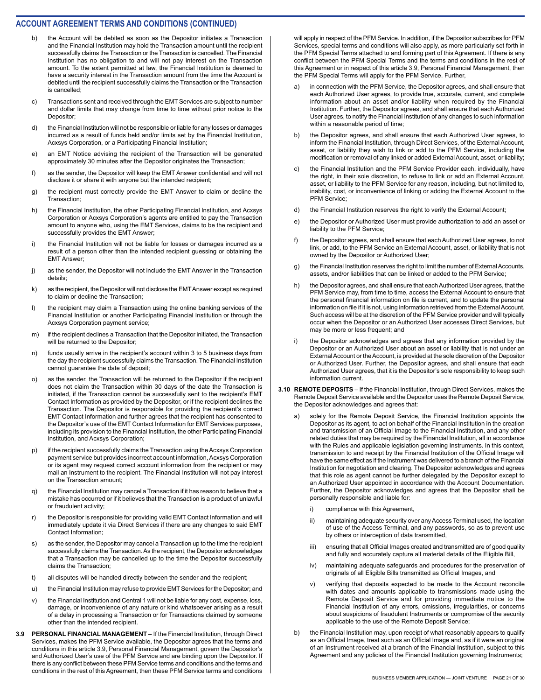- b) the Account will be debited as soon as the Depositor initiates a Transaction and the Financial Institution may hold the Transaction amount until the recipient successfully claims the Transaction or the Transaction is cancelled. The Financial Institution has no obligation to and will not pay interest on the Transaction amount. To the extent permitted at law, the Financial Institution is deemed to have a security interest in the Transaction amount from the time the Account is debited until the recipient successfully claims the Transaction or the Transaction is cancelled;
- c) Transactions sent and received through the EMT Services are subject to number and dollar limits that may change from time to time without prior notice to the Depositor;
- d) the Financial Institution will not be responsible or liable for any losses or damages incurred as a result of funds held and/or limits set by the Financial Institution, Acxsys Corporation, or a Participating Financial Institution;
- e) an EMT Notice advising the recipient of the Transaction will be generated approximately 30 minutes after the Depositor originates the Transaction;
- f) as the sender, the Depositor will keep the EMT Answer confidential and will not disclose it or share it with anyone but the intended recipient;
- g) the recipient must correctly provide the EMT Answer to claim or decline the Transaction;
- h) the Financial Institution, the other Participating Financial Institution, and Acxsys Corporation or Acxsys Corporation's agents are entitled to pay the Transaction amount to anyone who, using the EMT Services, claims to be the recipient and successfully provides the EMT Answer;
- i) the Financial Institution will not be liable for losses or damages incurred as a result of a person other than the intended recipient guessing or obtaining the EMT Answer;
- j) as the sender, the Depositor will not include the EMT Answer in the Transaction details;
- k) as the recipient, the Depositor will not disclose the EMT Answer except as required to claim or decline the Transaction;
- l) the recipient may claim a Transaction using the online banking services of the Financial Institution or another Participating Financial Institution or through the Acxsys Corporation payment service;
- m) if the recipient declines a Transaction that the Depositor initiated, the Transaction will be returned to the Depositor;
- n) funds usually arrive in the recipient's account within 3 to 5 business days from the day the recipient successfully claims the Transaction. The Financial Institution cannot guarantee the date of deposit;
- o) as the sender, the Transaction will be returned to the Depositor if the recipient does not claim the Transaction within 30 days of the date the Transaction is initiated, if the Transaction cannot be successfully sent to the recipient's EMT Contact Information as provided by the Depositor, or if the recipient declines the Transaction. The Depositor is responsible for providing the recipient's correct EMT Contact Information and further agrees that the recipient has consented to the Depositor's use of the EMT Contact Information for EMT Services purposes, including its provision to the Financial Institution, the other Participating Financial Institution, and Acxsys Corporation;
- p) if the recipient successfully claims the Transaction using the Acxsys Corporation payment service but provides incorrect account information, Acxsys Corporation or its agent may request correct account information from the recipient or may mail an Instrument to the recipient. The Financial Institution will not pay interest on the Transaction amount;
- q) the Financial Institution may cancel a Transaction if it has reason to believe that a mistake has occurred or if it believes that the Transaction is a product of unlawful or fraudulent activity;
- r) the Depositor is responsible for providing valid EMT Contact Information and will immediately update it via Direct Services if there are any changes to said EMT Contact Information;
- s) as the sender, the Depositor may cancel a Transaction up to the time the recipient successfully claims the Transaction. As the recipient, the Depositor acknowledges that a Transaction may be cancelled up to the time the Depositor successfully claims the Transaction;
- t) all disputes will be handled directly between the sender and the recipient;
- u) the Financial Institution may refuse to provide EMT Services for the Depositor; and
- v) the Financial Institution and Central 1 will not be liable for any cost, expense, loss, damage, or inconvenience of any nature or kind whatsoever arising as a result of a delay in processing a Transaction or for Transactions claimed by someone other than the intended recipient.
- **3.9 PERSONAL FINANCIAL MANAGEMENT**  If the Financial Institution, through Direct Services, makes the PFM Service available, the Depositor agrees that the terms and conditions in this article 3.9, Personal Financial Management, govern the Depositor's and Authorized User's use of the PFM Service and are binding upon the Depositor. If there is any conflict between these PFM Service terms and conditions and the terms and conditions in the rest of this Agreement, then these PFM Service terms and conditions

will apply in respect of the PFM Service. In addition, if the Depositor subscribes for PFM Services, special terms and conditions will also apply, as more particularly set forth in the PFM Special Terms attached to and forming part of this Agreement. If there is any conflict between the PFM Special Terms and the terms and conditions in the rest of this Agreement or in respect of this article 3.9, Personal Financial Management, then the PFM Special Terms will apply for the PFM Service. Further,

- a) in connection with the PFM Service, the Depositor agrees, and shall ensure that each Authorized User agrees, to provide true, accurate, current, and complete information about an asset and/or liability when required by the Financial Institution. Further, the Depositor agrees, and shall ensure that each Authorized User agrees, to notify the Financial Institution of any changes to such information within a reasonable period of time;
- b) the Depositor agrees, and shall ensure that each Authorized User agrees, to inform the Financial Institution, through Direct Services, of the External Account, asset, or liability they wish to link or add to the PFM Service, including the modification or removal of any linked or added External Account, asset, or liability;
- c) the Financial Institution and the PFM Service Provider each, individually, have the right, in their sole discretion, to refuse to link or add an External Account, asset, or liability to the PFM Service for any reason, including, but not limited to, inability, cost, or inconvenience of linking or adding the External Account to the PFM Service;
- d) the Financial Institution reserves the right to verify the External Account;
- e) the Depositor or Authorized User must provide authorization to add an asset or liability to the PFM Service;
- f) the Depositor agrees, and shall ensure that each Authorized User agrees, to not link, or add, to the PFM Service an External Account, asset, or liability that is not owned by the Depositor or Authorized User;
- g) the Financial Institution reserves the right to limit the number of External Accounts, assets, and/or liabilities that can be linked or added to the PFM Service;
- h) the Depositor agrees, and shall ensure that each Authorized User agrees, that the PFM Service may, from time to time, access the External Account to ensure that the personal financial information on file is current, and to update the personal information on file if it is not, using information retrieved from the External Account. Such access will be at the discretion of the PFM Service provider and will typically occur when the Depositor or an Authorized User accesses Direct Services, but may be more or less frequent; and
- i) the Depositor acknowledges and agrees that any information provided by the Depositor or an Authorized User about an asset or liability that is not under an External Account or the Account, is provided at the sole discretion of the Depositor or Authorized User. Further, the Depositor agrees, and shall ensure that each Authorized User agrees, that it is the Depositor's sole responsibility to keep such information current.
- **3.10 REMOTE DEPOSITS** If the Financial Institution, through Direct Services, makes the Remote Deposit Service available and the Depositor uses the Remote Deposit Service, the Depositor acknowledges and agrees that:
	- a) solely for the Remote Deposit Service, the Financial Institution appoints the Depositor as its agent, to act on behalf of the Financial Institution in the creation and transmission of an Official Image to the Financial Institution, and any other related duties that may be required by the Financial Institution, all in accordance with the Rules and applicable legislation governing Instruments. In this context, transmission to and receipt by the Financial Institution of the Official Image will have the same effect as if the Instrument was delivered to a branch of the Financial Institution for negotiation and clearing. The Depositor acknowledges and agrees that this role as agent cannot be further delegated by the Depositor except to an Authorized User appointed in accordance with the Account Documentation. Further, the Depositor acknowledges and agrees that the Depositor shall be personally responsible and liable for:
		- i) compliance with this Agreement,
		- ii) maintaining adequate security over any Access Terminal used, the location of use of the Access Terminal, and any passwords, so as to prevent use by others or interception of data transmitted,
		- iii) ensuring that all Official Images created and transmitted are of good quality and fully and accurately capture all material details of the Eligible Bill,
		- iv) maintaining adequate safeguards and procedures for the preservation of originals of all Eligible Bills transmitted as Official Images, and
		- v) verifying that deposits expected to be made to the Account reconcile with dates and amounts applicable to transmissions made using the Remote Deposit Service and for providing immediate notice to the Financial Institution of any errors, omissions, irregularities, or concerns about suspicions of fraudulent Instruments or compromise of the security applicable to the use of the Remote Deposit Service;
	- b) the Financial Institution may, upon receipt of what reasonably appears to qualify as an Official Image, treat such as an Official Image and, as if it were an original of an Instrument received at a branch of the Financial Institution, subject to this Agreement and any policies of the Financial Institution governing Instruments;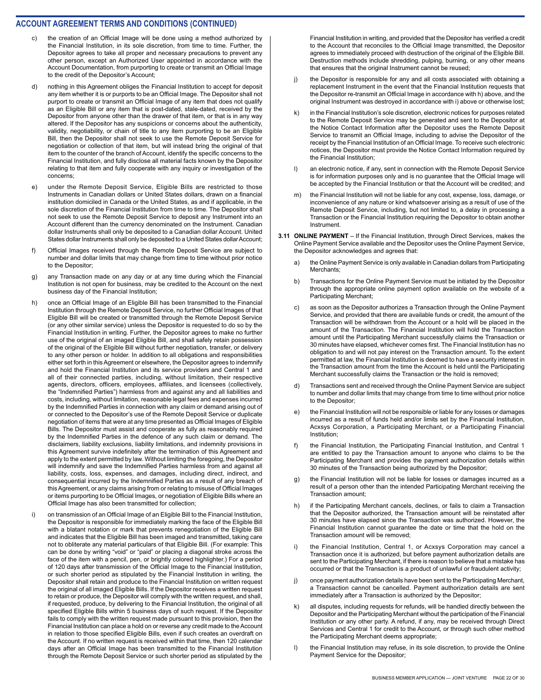- the creation of an Official Image will be done using a method authorized by the Financial Institution, in its sole discretion, from time to time. Further, the Depositor agrees to take all proper and necessary precautions to prevent any other person, except an Authorized User appointed in accordance with the Account Documentation, from purporting to create or transmit an Official Image to the credit of the Depositor's Account;
- d) nothing in this Agreement obliges the Financial Institution to accept for deposit any item whether it is or purports to be an Official Image. The Depositor shall not purport to create or transmit an Official Image of any item that does not qualify as an Eligible Bill or any item that is post-dated, stale-dated, received by the Depositor from anyone other than the drawer of that item, or that is in any way altered. If the Depositor has any suspicions or concerns about the authenticity, validity, negotiability, or chain of title to any item purporting to be an Eligible Bill, then the Depositor shall not seek to use the Remote Deposit Service for negotiation or collection of that item, but will instead bring the original of that item to the counter of the branch of Account, identify the specific concerns to the Financial Institution, and fully disclose all material facts known by the Depositor relating to that item and fully cooperate with any inquiry or investigation of the concerns;
- e) under the Remote Deposit Service, Eligible Bills are restricted to those Instruments in Canadian dollars or United States dollars, drawn on a financial institution domiciled in Canada or the United States, as and if applicable, in the sole discretion of the Financial Institution from time to time. The Depositor shall not seek to use the Remote Deposit Service to deposit any Instrument into an Account different than the currency denominated on the Instrument. Canadian dollar Instruments shall only be deposited to a Canadian dollar Account. United States dollar Instruments shall only be deposited to a United States dollar Account;
- f) Official Images received through the Remote Deposit Service are subject to number and dollar limits that may change from time to time without prior notice to the Depositor;
- g) any Transaction made on any day or at any time during which the Financial Institution is not open for business, may be credited to the Account on the next business day of the Financial Institution;
- h) once an Official Image of an Eligible Bill has been transmitted to the Financial Institution through the Remote Deposit Service, no further Official Images of that Eligible Bill will be created or transmitted through the Remote Deposit Service (or any other similar service) unless the Depositor is requested to do so by the Financial Institution in writing. Further, the Depositor agrees to make no further use of the original of an imaged Eligible Bill, and shall safely retain possession of the original of the Eligible Bill without further negotiation, transfer, or delivery to any other person or holder. In addition to all obligations and responsibilities either set forth in this Agreement or elsewhere, the Depositor agrees to indemnify and hold the Financial Institution and its service providers and Central 1 and all of their connected parties, including, without limitation, their respective agents, directors, officers, employees, affiliates, and licensees (collectively, the "Indemnified Parties") harmless from and against any and all liabilities and costs, including, without limitation, reasonable legal fees and expenses incurred by the Indemnified Parties in connection with any claim or demand arising out of or connected to the Depositor's use of the Remote Deposit Service or duplicate negotiation of items that were at any time presented as Official Images of Eligible Bills. The Depositor must assist and cooperate as fully as reasonably required by the Indemnified Parties in the defence of any such claim or demand. The disclaimers, liability exclusions, liability limitations, and indemnity provisions in this Agreement survive indefinitely after the termination of this Agreement and apply to the extent permitted by law. Without limiting the foregoing, the Depositor will indemnify and save the Indemnified Parties harmless from and against all liability, costs, loss, expenses, and damages, including direct, indirect, and consequential incurred by the Indemnified Parties as a result of any breach of this Agreement, or any claims arising from or relating to misuse of Official Images or items purporting to be Official Images, or negotiation of Eligible Bills where an Official Image has also been transmitted for collection;
- i) on transmission of an Official Image of an Eligible Bill to the Financial Institution, the Depositor is responsible for immediately marking the face of the Eligible Bill with a blatant notation or mark that prevents renegotiation of the Eligible Bill and indicates that the Eligible Bill has been imaged and transmitted, taking care not to obliterate any material particulars of that Eligible Bill. (For example: This can be done by writing "void" or "paid" or placing a diagonal stroke across the face of the item with a pencil, pen, or brightly colored highlighter.) For a period of 120 days after transmission of the Official Image to the Financial Institution, or such shorter period as stipulated by the Financial Institution in writing, the Depositor shall retain and produce to the Financial Institution on written request the original of all imaged Eligible Bills. If the Depositor receives a written request to retain or produce, the Depositor will comply with the written request, and shall, if requested, produce, by delivering to the Financial Institution, the original of all specified Eligible Bills within 5 business days of such request. If the Depositor fails to comply with the written request made pursuant to this provision, then the Financial Institution can place a hold on or reverse any credit made to the Account in relation to those specified Eligible Bills, even if such creates an overdraft on the Account. If no written request is received within that time, then 120 calendar days after an Official Image has been transmitted to the Financial Institution through the Remote Deposit Service or such shorter period as stipulated by the

Financial Institution in writing, and provided that the Depositor has verified a credit to the Account that reconciles to the Official Image transmitted, the Depositor agrees to immediately proceed with destruction of the original of the Eligible Bill. Destruction methods include shredding, pulping, burning, or any other means that ensures that the original Instrument cannot be reused;

- j) the Depositor is responsible for any and all costs associated with obtaining a replacement Instrument in the event that the Financial Institution requests that the Depositor re-transmit an Official Image in accordance with h) above, and the original Instrument was destroyed in accordance with i) above or otherwise lost;
- k) in the Financial Institution's sole discretion, electronic notices for purposes related to the Remote Deposit Service may be generated and sent to the Depositor at the Notice Contact Information after the Depositor uses the Remote Deposit Service to transmit an Official Image, including to advise the Depositor of the receipt by the Financial Institution of an Official Image. To receive such electronic notices, the Depositor must provide the Notice Contact Information required by the Financial Institution;
- l) an electronic notice, if any, sent in connection with the Remote Deposit Service is for information purposes only and is no guarantee that the Official Image will be accepted by the Financial Institution or that the Account will be credited; and
- the Financial Institution will not be liable for any cost, expense, loss, damage, or inconvenience of any nature or kind whatsoever arising as a result of use of the Remote Deposit Service, including, but not limited to, a delay in processing a Transaction or the Financial Institution requiring the Depositor to obtain another Instrument.
- **3.11 ONLINE PAYMENT** If the Financial Institution, through Direct Services, makes the Online Payment Service available and the Depositor uses the Online Payment Service, the Depositor acknowledges and agrees that:
	- a) the Online Payment Service is only available in Canadian dollars from Participating Merchants;
	- b) Transactions for the Online Payment Service must be initiated by the Depositor through the appropriate online payment option available on the website of a Participating Merchant;
	- c) as soon as the Depositor authorizes a Transaction through the Online Payment Service, and provided that there are available funds or credit, the amount of the Transaction will be withdrawn from the Account or a hold will be placed in the amount of the Transaction. The Financial Institution will hold the Transaction amount until the Participating Merchant successfully claims the Transaction or 30 minutes have elapsed, whichever comes first. The Financial Institution has no obligation to and will not pay interest on the Transaction amount. To the extent permitted at law, the Financial Institution is deemed to have a security interest in the Transaction amount from the time the Account is held until the Participating Merchant successfully claims the Transaction or the hold is removed;
	- d) Transactions sent and received through the Online Payment Service are subject to number and dollar limits that may change from time to time without prior notice to the Depositor;
	- e) the Financial Institution will not be responsible or liable for any losses or damages incurred as a result of funds held and/or limits set by the Financial Institution, Acxsys Corporation, a Participating Merchant, or a Participating Financial Institution;
	- f) the Financial Institution, the Participating Financial Institution, and Central 1 are entitled to pay the Transaction amount to anyone who claims to be the Participating Merchant and provides the payment authorization details within 30 minutes of the Transaction being authorized by the Depositor;
	- g) the Financial Institution will not be liable for losses or damages incurred as a result of a person other than the intended Participating Merchant receiving the Transaction amount;
	- h) if the Participating Merchant cancels, declines, or fails to claim a Transaction that the Depositor authorized, the Transaction amount will be reinstated after 30 minutes have elapsed since the Transaction was authorized. However, the Financial Institution cannot guarantee the date or time that the hold on the Transaction amount will be removed;
	- i) the Financial Institution, Central 1, or Acxsys Corporation may cancel a Transaction once it is authorized, but before payment authorization details are sent to the Participating Merchant, if there is reason to believe that a mistake has occurred or that the Transaction is a product of unlawful or fraudulent activity;
	- j) once payment authorization details have been sent to the Participating Merchant, a Transaction cannot be cancelled. Payment authorization details are sent immediately after a Transaction is authorized by the Depositor;
	- k) all disputes, including requests for refunds, will be handled directly between the Depositor and the Participating Merchant without the participation of the Financial Institution or any other party. A refund, if any, may be received through Direct Services and Central 1 for credit to the Account, or through such other method the Participating Merchant deems appropriate;
	- l) the Financial Institution may refuse, in its sole discretion, to provide the Online Payment Service for the Depositor;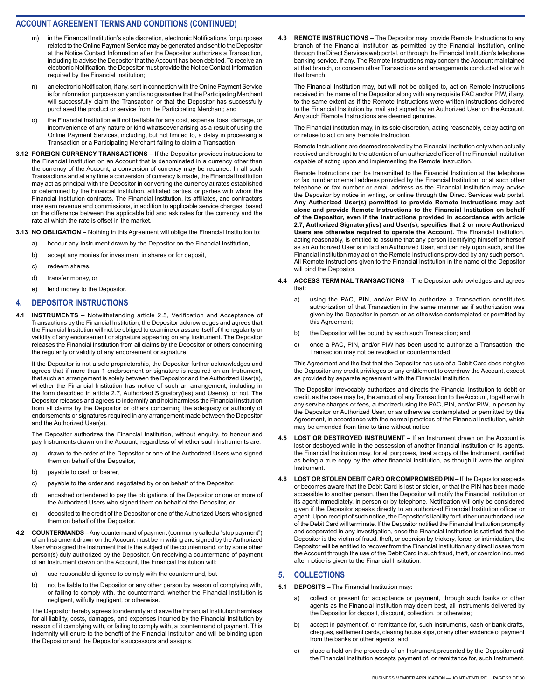- m) in the Financial Institution's sole discretion, electronic Notifications for purposes related to the Online Payment Service may be generated and sent to the Depositor at the Notice Contact Information after the Depositor authorizes a Transaction, including to advise the Depositor that the Account has been debited. To receive an electronic Notification, the Depositor must provide the Notice Contact Information required by the Financial Institution;
- n) an electronic Notification, if any, sent in connection with the Online Payment Service is for information purposes only and is no guarantee that the Participating Merchant will successfully claim the Transaction or that the Depositor has successfully purchased the product or service from the Participating Merchant; and
- o) the Financial Institution will not be liable for any cost, expense, loss, damage, or inconvenience of any nature or kind whatsoever arising as a result of using the Online Payment Services, including, but not limited to, a delay in processing a Transaction or a Participating Merchant failing to claim a Transaction.
- **3.12 FOREIGN CURRENCY TRANSACTIONS** If the Depositor provides instructions to the Financial Institution on an Account that is denominated in a currency other than the currency of the Account, a conversion of currency may be required. In all such Transactions and at any time a conversion of currency is made, the Financial Institution may act as principal with the Depositor in converting the currency at rates established or determined by the Financial Institution, affiliated parties, or parties with whom the Financial Institution contracts. The Financial Institution, its affiliates, and contractors may earn revenue and commissions, in addition to applicable service charges, based on the difference between the applicable bid and ask rates for the currency and the rate at which the rate is offset in the market.
- **3.13 NO OBLIGATION** Nothing in this Agreement will oblige the Financial Institution to:
	- a) honour any Instrument drawn by the Depositor on the Financial Institution,
	- b) accept any monies for investment in shares or for deposit,
	- c) redeem shares,
	- d) transfer money, or
	- e) lend money to the Depositor.

#### **4. DEPOSITOR INSTRUCTIONS**

**4.1 INSTRUMENTS** – Notwithstanding article 2.5, Verification and Acceptance of Transactions by the Financial Institution, the Depositor acknowledges and agrees that the Financial Institution will not be obliged to examine or assure itself of the regularity or validity of any endorsement or signature appearing on any Instrument. The Depositor releases the Financial Institution from all claims by the Depositor or others concerning the regularity or validity of any endorsement or signature.

If the Depositor is not a sole proprietorship, the Depositor further acknowledges and agrees that if more than 1 endorsement or signature is required on an Instrument, that such an arrangement is solely between the Depositor and the Authorized User(s), whether the Financial Institution has notice of such an arrangement, including in the form described in article 2.7, Authorized Signatory(ies) and User(s), or not. The Depositor releases and agrees to indemnify and hold harmless the Financial Institution from all claims by the Depositor or others concerning the adequacy or authority of endorsements or signatures required in any arrangement made between the Depositor and the Authorized User(s).

The Depositor authorizes the Financial Institution, without enquiry, to honour and pay Instruments drawn on the Account, regardless of whether such Instruments are:

- a) drawn to the order of the Depositor or one of the Authorized Users who signed them on behalf of the Depositor,
- b) payable to cash or bearer,
- c) payable to the order and negotiated by or on behalf of the Depositor,
- d) encashed or tendered to pay the obligations of the Depositor or one or more of the Authorized Users who signed them on behalf of the Depositor, or
- e) deposited to the credit of the Depositor or one of the Authorized Users who signed them on behalf of the Depositor.
- **4.2 COUNTERMANDS** Any countermand of payment (commonly called a "stop payment") of an Instrument drawn on the Account must be in writing and signed by the Authorized User who signed the Instrument that is the subject of the countermand, or by some other person(s) duly authorized by the Depositor. On receiving a countermand of payment of an Instrument drawn on the Account, the Financial Institution will:
	- a) use reasonable diligence to comply with the countermand, but
	- b) not be liable to the Depositor or any other person by reason of complying with, or failing to comply with, the countermand, whether the Financial Institution is negligent, wilfully negligent, or otherwise.

The Depositor hereby agrees to indemnify and save the Financial Institution harmless for all liability, costs, damages, and expenses incurred by the Financial Institution by reason of it complying with, or failing to comply with, a countermand of payment. This indemnity will enure to the benefit of the Financial Institution and will be binding upon the Depositor and the Depositor's successors and assigns.

**4.3 REMOTE INSTRUCTIONS** – The Depositor may provide Remote Instructions to any branch of the Financial Institution as permitted by the Financial Institution, online through the Direct Services web portal, or through the Financial Institution's telephone banking service, if any. The Remote Instructions may concern the Account maintained at that branch, or concern other Transactions and arrangements conducted at or with that branch.

The Financial Institution may, but will not be obliged to, act on Remote Instructions received in the name of the Depositor along with any requisite PAC and/or PIW, if any, to the same extent as if the Remote Instructions were written instructions delivered to the Financial Institution by mail and signed by an Authorized User on the Account. Any such Remote Instructions are deemed genuine.

The Financial Institution may, in its sole discretion, acting reasonably, delay acting on or refuse to act on any Remote Instruction.

Remote Instructions are deemed received by the Financial Institution only when actually received and brought to the attention of an authorized officer of the Financial Institution capable of acting upon and implementing the Remote Instruction.

Remote Instructions can be transmitted to the Financial Institution at the telephone or fax number or email address provided by the Financial Institution, or at such other telephone or fax number or email address as the Financial Institution may advise the Depositor by notice in writing, or online through the Direct Services web portal. **Any Authorized User(s) permitted to provide Remote Instructions may act alone and provide Remote Instructions to the Financial Institution on behalf of the Depositor, even if the instructions provided in accordance with article 2.7, Authorized Signatory(ies) and User(s), specifies that 2 or more Authorized Users are otherwise required to operate the Account.** The Financial Institution, acting reasonably, is entitled to assume that any person identifying himself or herself as an Authorized User is in fact an Authorized User, and can rely upon such, and the Financial Institution may act on the Remote Instructions provided by any such person. All Remote Instructions given to the Financial Institution in the name of the Depositor will bind the Depositor.

- **4.4 ACCESS TERMINAL TRANSACTIONS** The Depositor acknowledges and agrees that:
	- a) using the PAC, PIN, and/or PIW to authorize a Transaction constitutes authorization of that Transaction in the same manner as if authorization was given by the Depositor in person or as otherwise contemplated or permitted by this Agreement;
	- b) the Depositor will be bound by each such Transaction; and
	- c) once a PAC, PIN, and/or PIW has been used to authorize a Transaction, the Transaction may not be revoked or countermanded.

This Agreement and the fact that the Depositor has use of a Debit Card does not give the Depositor any credit privileges or any entitlement to overdraw the Account, except as provided by separate agreement with the Financial Institution.

The Depositor irrevocably authorizes and directs the Financial Institution to debit or credit, as the case may be, the amount of any Transaction to the Account, together with any service charges or fees, authorized using the PAC, PIN, and/or PIW, in person by the Depositor or Authorized User, or as otherwise contemplated or permitted by this Agreement, in accordance with the normal practices of the Financial Institution, which may be amended from time to time without notice.

- **4.5 LOST OR DESTROYED INSTRUMENT**  If an Instrument drawn on the Account is lost or destroyed while in the possession of another financial institution or its agents, the Financial Institution may, for all purposes, treat a copy of the Instrument, certified as being a true copy by the other financial institution, as though it were the original Instrument.
- **4.6 LOST OR STOLEN DEBIT CARD OR COMPROMISED PIN** If the Depositor suspects or becomes aware that the Debit Card is lost or stolen, or that the PIN has been made accessible to another person, then the Depositor will notify the Financial Institution or its agent immediately, in person or by telephone. Notification will only be considered given if the Depositor speaks directly to an authorized Financial Institution officer or agent. Upon receipt of such notice, the Depositor's liability for further unauthorized use of the Debit Card will terminate. If the Depositor notified the Financial Institution promptly and cooperated in any investigation, once the Financial Institution is satisfied that the Depositor is the victim of fraud, theft, or coercion by trickery, force, or intimidation, the Depositor will be entitled to recover from the Financial Institution any direct losses from the Account through the use of the Debit Card in such fraud, theft, or coercion incurred after notice is given to the Financial Institution.

#### **5. COLLECTIONS**

- **5.1 DEPOSITS** The Financial Institution may:
	- a) collect or present for acceptance or payment, through such banks or other agents as the Financial Institution may deem best, all Instruments delivered by the Depositor for deposit, discount, collection, or otherwise;
	- b) accept in payment of, or remittance for, such Instruments, cash or bank drafts, cheques, settlement cards, clearing house slips, or any other evidence of payment from the banks or other agents; and
	- c) place a hold on the proceeds of an Instrument presented by the Depositor until the Financial Institution accepts payment of, or remittance for, such Instrument.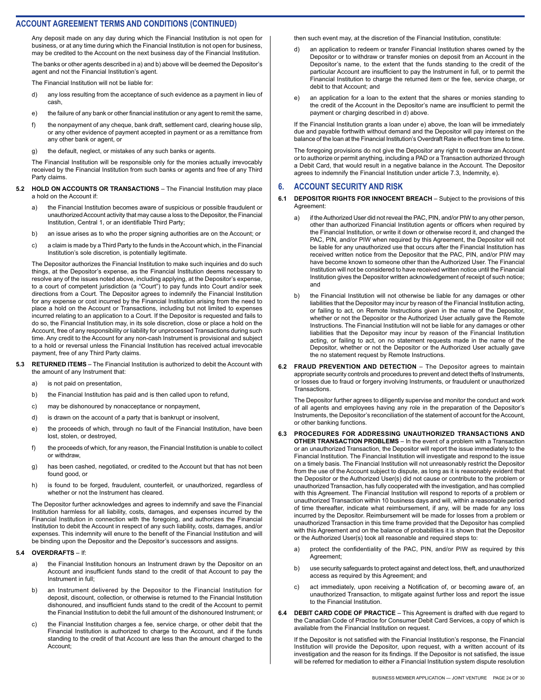Any deposit made on any day during which the Financial Institution is not open for business, or at any time during which the Financial Institution is not open for business, may be credited to the Account on the next business day of the Financial Institution.

The banks or other agents described in a) and b) above will be deemed the Depositor's agent and not the Financial Institution's agent.

The Financial Institution will not be liable for:

- d) any loss resulting from the acceptance of such evidence as a payment in lieu of cash,
- e) the failure of any bank or other financial institution or any agent to remit the same,
- f) the nonpayment of any cheque, bank draft, settlement card, clearing house slip, or any other evidence of payment accepted in payment or as a remittance from any other bank or agent, or
- g) the default, neglect, or mistakes of any such banks or agents.

The Financial Institution will be responsible only for the monies actually irrevocably received by the Financial Institution from such banks or agents and free of any Third Party claims.

- **5.2 HOLD ON ACCOUNTS OR TRANSACTIONS** The Financial Institution may place a hold on the Account if:
	- a) the Financial Institution becomes aware of suspicious or possible fraudulent or unauthorized Account activity that may cause a loss to the Depositor, the Financial Institution, Central 1, or an identifiable Third Party;
	- b) an issue arises as to who the proper signing authorities are on the Account; or
	- c) a claim is made by a Third Party to the funds in the Account which, in the Financial Institution's sole discretion, is potentially legitimate.

The Depositor authorizes the Financial Institution to make such inquiries and do such things, at the Depositor's expense, as the Financial Institution deems necessary to resolve any of the issues noted above, including applying, at the Depositor's expense, to a court of competent jurisdiction (a "Court") to pay funds into Court and/or seek directions from a Court. The Depositor agrees to indemnify the Financial Institution for any expense or cost incurred by the Financial Institution arising from the need to place a hold on the Account or Transactions, including but not limited to expenses incurred relating to an application to a Court. If the Depositor is requested and fails to do so, the Financial Institution may, in its sole discretion, close or place a hold on the Account, free of any responsibility or liability for unprocessed Transactions during such time. Any credit to the Account for any non-cash Instrument is provisional and subject to a hold or reversal unless the Financial Institution has received actual irrevocable payment, free of any Third Party claims.

- **5.3 RETURNED ITEMS** The Financial Institution is authorized to debit the Account with the amount of any Instrument that:
	- a) is not paid on presentation,
	- b) the Financial Institution has paid and is then called upon to refund,
	- c) may be dishonoured by nonacceptance or nonpayment,
	- d) is drawn on the account of a party that is bankrupt or insolvent,
	- e) the proceeds of which, through no fault of the Financial Institution, have been lost, stolen, or destroyed,
	- f) the proceeds of which, for any reason, the Financial Institution is unable to collect or withdraw,
	- g) has been cashed, negotiated, or credited to the Account but that has not been found good, or
	- h) is found to be forged, fraudulent, counterfeit, or unauthorized, regardless of whether or not the Instrument has cleared.

The Depositor further acknowledges and agrees to indemnify and save the Financial Institution harmless for all liability, costs, damages, and expenses incurred by the Financial Institution in connection with the foregoing, and authorizes the Financial Institution to debit the Account in respect of any such liability, costs, damages, and/or expenses. This indemnity will enure to the benefit of the Financial Institution and will be binding upon the Depositor and the Depositor's successors and assigns.

#### **5.4 OVERDRAFTS** – If:

- a) the Financial Institution honours an Instrument drawn by the Depositor on an Account and insufficient funds stand to the credit of that Account to pay the Instrument in full;
- b) an Instrument delivered by the Depositor to the Financial Institution for deposit, discount, collection, or otherwise is returned to the Financial Institution dishonoured, and insufficient funds stand to the credit of the Account to permit the Financial Institution to debit the full amount of the dishonoured Instrument; or
- c) the Financial Institution charges a fee, service charge, or other debit that the Financial Institution is authorized to charge to the Account, and if the funds standing to the credit of that Account are less than the amount charged to the Account;

then such event may, at the discretion of the Financial Institution, constitute:

- d) an application to redeem or transfer Financial Institution shares owned by the Depositor or to withdraw or transfer monies on deposit from an Account in the Depositor's name, to the extent that the funds standing to the credit of the particular Account are insufficient to pay the Instrument in full, or to permit the Financial Institution to charge the returned item or the fee, service charge, or debit to that Account; and
- e) an application for a loan to the extent that the shares or monies standing to the credit of the Account in the Depositor's name are insufficient to permit the payment or charging described in d) above.

If the Financial Institution grants a loan under e) above, the loan will be immediately due and payable forthwith without demand and the Depositor will pay interest on the balance of the loan at the Financial Institution's Overdraft Rate in effect from time to time.

The foregoing provisions do not give the Depositor any right to overdraw an Account or to authorize or permit anything, including a PAD or a Transaction authorized through a Debit Card, that would result in a negative balance in the Account. The Depositor agrees to indemnify the Financial Institution under article 7.3, Indemnity, e).

#### **6. ACCOUNT SECURITY AND RISK**

- **DEPOSITOR RIGHTS FOR INNOCENT BREACH** Subject to the provisions of this Agreement:
	- a) if the Authorized User did not reveal the PAC, PIN, and/or PIW to any other person, other than authorized Financial Institution agents or officers when required by the Financial Institution, or write it down or otherwise record it, and changed the PAC, PIN, and/or PIW when required by this Agreement, the Depositor will not be liable for any unauthorized use that occurs after the Financial Institution has received written notice from the Depositor that the PAC, PIN, and/or PIW may have become known to someone other than the Authorized User. The Financial Institution will not be considered to have received written notice until the Financial Institution gives the Depositor written acknowledgement of receipt of such notice; and
	- b) the Financial Institution will not otherwise be liable for any damages or other liabilities that the Depositor may incur by reason of the Financial Institution acting, or failing to act, on Remote Instructions given in the name of the Depositor, whether or not the Depositor or the Authorized User actually gave the Remote Instructions. The Financial Institution will not be liable for any damages or other liabilities that the Depositor may incur by reason of the Financial Institution acting, or failing to act, on no statement requests made in the name of the Depositor, whether or not the Depositor or the Authorized User actually gave the no statement request by Remote Instructions.
- **6.2 FRAUD PREVENTION AND DETECTION** The Depositor agrees to maintain appropriate security controls and procedures to prevent and detect thefts of Instruments, or losses due to fraud or forgery involving Instruments, or fraudulent or unauthorized Transactions.

The Depositor further agrees to diligently supervise and monitor the conduct and work of all agents and employees having any role in the preparation of the Depositor's Instruments, the Depositor's reconciliation of the statement of account for the Account, or other banking functions.

- **6.3 PROCEDURES FOR ADDRESSING UNAUTHORIZED TRANSACTIONS AND OTHER TRANSACTION PROBLEMS** – In the event of a problem with a Transaction or an unauthorized Transaction, the Depositor will report the issue immediately to the Financial Institution. The Financial Institution will investigate and respond to the issue on a timely basis. The Financial Institution will not unreasonably restrict the Depositor from the use of the Account subject to dispute, as long as it is reasonably evident that the Depositor or the Authorized User(s) did not cause or contribute to the problem or unauthorized Transaction, has fully cooperated with the investigation, and has complied with this Agreement. The Financial Institution will respond to reports of a problem or unauthorized Transaction within 10 business days and will, within a reasonable period of time thereafter, indicate what reimbursement, if any, will be made for any loss incurred by the Depositor. Reimbursement will be made for losses from a problem or unauthorized Transaction in this time frame provided that the Depositor has complied with this Agreement and on the balance of probabilities it is shown that the Depositor or the Authorized User(s) took all reasonable and required steps to:
	- a) protect the confidentiality of the PAC, PIN, and/or PIW as required by this Agreement;
	- b) use security safeguards to protect against and detect loss, theft, and unauthorized access as required by this Agreement; and
	- c) act immediately, upon receiving a Notification of, or becoming aware of, an unauthorized Transaction, to mitigate against further loss and report the issue to the Financial Institution.
- **6.4 DEBIT CARD CODE OF PRACTICE** This Agreement is drafted with due regard to the Canadian Code of Practice for Consumer Debit Card Services, a copy of which is available from the Financial Institution on request.

If the Depositor is not satisfied with the Financial Institution's response, the Financial Institution will provide the Depositor, upon request, with a written account of its investigation and the reason for its findings. If the Depositor is not satisfied, the issue will be referred for mediation to either a Financial Institution system dispute resolution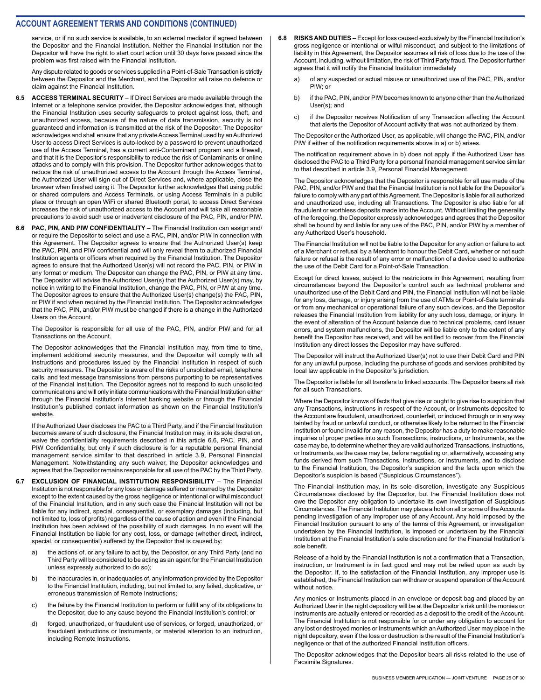service, or if no such service is available, to an external mediator if agreed between the Depositor and the Financial Institution. Neither the Financial Institution nor the Depositor will have the right to start court action until 30 days have passed since the problem was first raised with the Financial Institution.

Any dispute related to goods or services supplied in a Point-of-Sale Transaction is strictly between the Depositor and the Merchant, and the Depositor will raise no defence or claim against the Financial Institution.

- **6.5 ACCESS TERMINAL SECURITY** If Direct Services are made available through the Internet or a telephone service provider, the Depositor acknowledges that, although the Financial Institution uses security safeguards to protect against loss, theft, and unauthorized access, because of the nature of data transmission, security is not guaranteed and information is transmitted at the risk of the Depositor. The Depositor acknowledges and shall ensure that any private Access Terminal used by an Authorized User to access Direct Services is auto-locked by a password to prevent unauthorized use of the Access Terminal, has a current anti-Contaminant program and a firewall, and that it is the Depositor's responsibility to reduce the risk of Contaminants or online attacks and to comply with this provision. The Depositor further acknowledges that to reduce the risk of unauthorized access to the Account through the Access Terminal, the Authorized User will sign out of Direct Services and, where applicable, close the browser when finished using it. The Depositor further acknowledges that using public or shared computers and Access Terminals, or using Access Terminals in a public place or through an open WiFi or shared Bluetooth portal, to access Direct Services increases the risk of unauthorized access to the Account and will take all reasonable precautions to avoid such use or inadvertent disclosure of the PAC, PIN, and/or PIW.
- **6.6 PAC, PIN, AND PIW CONFIDENTIALITY** The Financial Institution can assign and/ or require the Depositor to select and use a PAC, PIN, and/or PIW in connection with this Agreement. The Depositor agrees to ensure that the Authorized User(s) keep the PAC, PIN, and PIW confidential and will only reveal them to authorized Financial Institution agents or officers when required by the Financial Institution. The Depositor agrees to ensure that the Authorized User(s) will not record the PAC, PIN, or PIW in any format or medium. The Depositor can change the PAC, PIN, or PIW at any time. The Depositor will advise the Authorized User(s) that the Authorized User(s) may, by notice in writing to the Financial Institution, change the PAC, PIN, or PIW at any time. The Depositor agrees to ensure that the Authorized User(s) change(s) the PAC, PIN, or PIW if and when required by the Financial Institution. The Depositor acknowledges that the PAC, PIN, and/or PIW must be changed if there is a change in the Authorized Users on the Account.

The Depositor is responsible for all use of the PAC, PIN, and/or PIW and for all Transactions on the Account.

The Depositor acknowledges that the Financial Institution may, from time to time, implement additional security measures, and the Depositor will comply with all instructions and procedures issued by the Financial Institution in respect of such security measures. The Depositor is aware of the risks of unsolicited email, telephone calls, and text message transmissions from persons purporting to be representatives of the Financial Institution. The Depositor agrees not to respond to such unsolicited communications and will only initiate communications with the Financial Institution either through the Financial Institution's Internet banking website or through the Financial Institution's published contact information as shown on the Financial Institution's website.

If the Authorized User discloses the PAC to a Third Party, and if the Financial Institution becomes aware of such disclosure, the Financial Institution may, in its sole discretion, waive the confidentiality requirements described in this article 6.6, PAC, PIN, and PIW Confidentiality, but only if such disclosure is for a reputable personal financial management service similar to that described in article 3.9, Personal Financial Management. Notwithstanding any such waiver, the Depositor acknowledges and agrees that the Depositor remains responsible for all use of the PAC by the Third Party.

- **6.7 EXCLUSION OF FINANCIAL INSTITUTION RESPONSIBILITY** The Financial Institution is not responsible for any loss or damage suffered or incurred by the Depositor except to the extent caused by the gross negligence or intentional or wilful misconduct of the Financial Institution, and in any such case the Financial Institution will not be liable for any indirect, special, consequential, or exemplary damages (including, but not limited to, loss of profits) regardless of the cause of action and even if the Financial Institution has been advised of the possibility of such damages. In no event will the Financial Institution be liable for any cost, loss, or damage (whether direct, indirect, special, or consequential) suffered by the Depositor that is caused by:
	- a) the actions of, or any failure to act by, the Depositor, or any Third Party (and no Third Party will be considered to be acting as an agent for the Financial Institution unless expressly authorized to do so);
	- b) the inaccuracies in, or inadequacies of, any information provided by the Depositor to the Financial Institution, including, but not limited to, any failed, duplicative, or erroneous transmission of Remote Instructions;
	- c) the failure by the Financial Institution to perform or fulfill any of its obligations to the Depositor, due to any cause beyond the Financial Institution's control; or
	- d) forged, unauthorized, or fraudulent use of services, or forged, unauthorized, or fraudulent instructions or Instruments, or material alteration to an instruction, including Remote Instructions.
- **6.8 RISKS AND DUTIES** Except for loss caused exclusively by the Financial Institution's gross negligence or intentional or wilful misconduct, and subject to the limitations of liability in this Agreement, the Depositor assumes all risk of loss due to the use of the Account, including, without limitation, the risk of Third Party fraud. The Depositor further agrees that it will notify the Financial Institution immediately
	- a) of any suspected or actual misuse or unauthorized use of the PAC, PIN, and/or PIW; or
	- b) if the PAC, PIN, and/or PIW becomes known to anyone other than the Authorized User(s); and
	- c) if the Depositor receives Notification of any Transaction affecting the Account that alerts the Depositor of Account activity that was not authorized by them.

The Depositor or the Authorized User, as applicable, will change the PAC, PIN, and/or PIW if either of the notification requirements above in a) or b) arises.

The notification requirement above in b) does not apply if the Authorized User has disclosed the PAC to a Third Party for a personal financial management service similar to that described in article 3.9, Personal Financial Management.

The Depositor acknowledges that the Depositor is responsible for all use made of the PAC, PIN, and/or PIW and that the Financial Institution is not liable for the Depositor's failure to comply with any part of this Agreement. The Depositor is liable for all authorized and unauthorized use, including all Transactions. The Depositor is also liable for all fraudulent or worthless deposits made into the Account. Without limiting the generality of the foregoing, the Depositor expressly acknowledges and agrees that the Depositor shall be bound by and liable for any use of the PAC, PIN, and/or PIW by a member of any Authorized User's household.

The Financial Institution will not be liable to the Depositor for any action or failure to act of a Merchant or refusal by a Merchant to honour the Debit Card, whether or not such failure or refusal is the result of any error or malfunction of a device used to authorize the use of the Debit Card for a Point-of-Sale Transaction.

Except for direct losses, subject to the restrictions in this Agreement, resulting from circumstances beyond the Depositor's control such as technical problems and unauthorized use of the Debit Card and PIN, the Financial Institution will not be liable for any loss, damage, or injury arising from the use of ATMs or Point-of-Sale terminals or from any mechanical or operational failure of any such devices, and the Depositor releases the Financial Institution from liability for any such loss, damage, or injury. In the event of alteration of the Account balance due to technical problems, card issuer errors, and system malfunctions, the Depositor will be liable only to the extent of any benefit the Depositor has received, and will be entitled to recover from the Financial Institution any direct losses the Depositor may have suffered.

The Depositor will instruct the Authorized User(s) not to use their Debit Card and PIN for any unlawful purpose, including the purchase of goods and services prohibited by local law applicable in the Depositor's jurisdiction.

The Depositor is liable for all transfers to linked accounts. The Depositor bears all risk for all such Transactions.

Where the Depositor knows of facts that give rise or ought to give rise to suspicion that any Transactions, instructions in respect of the Account, or Instruments deposited to the Account are fraudulent, unauthorized, counterfeit, or induced through or in any way tainted by fraud or unlawful conduct, or otherwise likely to be returned to the Financial Institution or found invalid for any reason, the Depositor has a duty to make reasonable inquiries of proper parties into such Transactions, instructions, or Instruments, as the case may be, to determine whether they are valid authorized Transactions, instructions, or Instruments, as the case may be, before negotiating or, alternatively, accessing any funds derived from such Transactions, instructions, or Instruments, and to disclose to the Financial Institution, the Depositor's suspicion and the facts upon which the Depositor's suspicion is based ("Suspicious Circumstances").

The Financial Institution may, in its sole discretion, investigate any Suspicious Circumstances disclosed by the Depositor, but the Financial Institution does not owe the Depositor any obligation to undertake its own investigation of Suspicious Circumstances. The Financial Institution may place a hold on all or some of the Accounts pending investigation of any improper use of any Account. Any hold imposed by the Financial Institution pursuant to any of the terms of this Agreement, or investigation undertaken by the Financial Institution, is imposed or undertaken by the Financial Institution at the Financial Institution's sole discretion and for the Financial Institution's sole benefit.

Release of a hold by the Financial Institution is not a confirmation that a Transaction, instruction, or Instrument is in fact good and may not be relied upon as such by the Depositor. If, to the satisfaction of the Financial Institution, any improper use is established, the Financial Institution can withdraw or suspend operation of the Account without notice.

Any monies or Instruments placed in an envelope or deposit bag and placed by an Authorized User in the night depository will be at the Depositor's risk until the monies or Instruments are actually entered or recorded as a deposit to the credit of the Account. The Financial Institution is not responsible for or under any obligation to account for any lost or destroyed monies or Instruments which an Authorized User may place in the night depository, even if the loss or destruction is the result of the Financial Institution's negligence or that of the authorized Financial Institution officers.

The Depositor acknowledges that the Depositor bears all risks related to the use of Facsimile Signatures.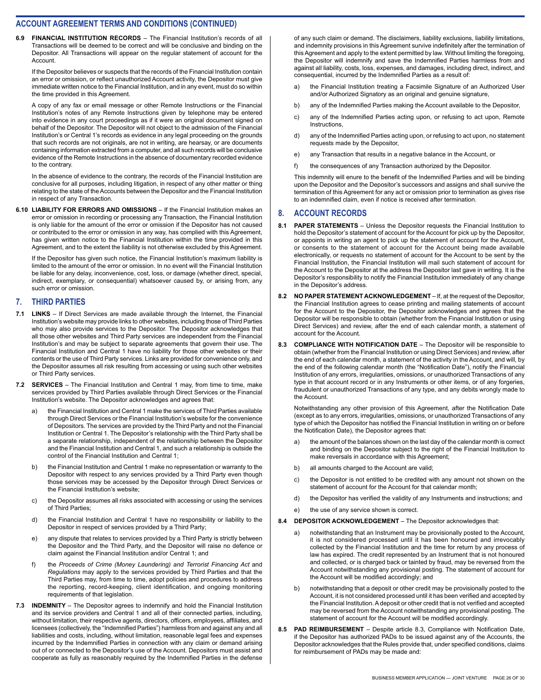**6.9 FINANCIAL INSTITUTION RECORDS** – The Financial Institution's records of all Transactions will be deemed to be correct and will be conclusive and binding on the Depositor. All Transactions will appear on the regular statement of account for the Account.

If the Depositor believes or suspects that the records of the Financial Institution contain an error or omission, or reflect unauthorized Account activity, the Depositor must give immediate written notice to the Financial Institution, and in any event, must do so within the time provided in this Agreement.

A copy of any fax or email message or other Remote Instructions or the Financial Institution's notes of any Remote Instructions given by telephone may be entered into evidence in any court proceedings as if it were an original document signed on behalf of the Depositor. The Depositor will not object to the admission of the Financial Institution's or Central 1's records as evidence in any legal proceeding on the grounds that such records are not originals, are not in writing, are hearsay, or are documents containing information extracted from a computer, and all such records will be conclusive evidence of the Remote Instructions in the absence of documentary recorded evidence to the contrary.

In the absence of evidence to the contrary, the records of the Financial Institution are conclusive for all purposes, including litigation, in respect of any other matter or thing relating to the state of the Accounts between the Depositor and the Financial Institution in respect of any Transaction.

**6.10 LIABILITY FOR ERRORS AND OMISSIONS** – If the Financial Institution makes an error or omission in recording or processing any Transaction, the Financial Institution is only liable for the amount of the error or omission if the Depositor has not caused or contributed to the error or omission in any way, has complied with this Agreement, has given written notice to the Financial Institution within the time provided in this Agreement, and to the extent the liability is not otherwise excluded by this Agreement.

If the Depositor has given such notice, the Financial Institution's maximum liability is limited to the amount of the error or omission. In no event will the Financial Institution be liable for any delay, inconvenience, cost, loss, or damage (whether direct, special, indirect, exemplary, or consequential) whatsoever caused by, or arising from, any such error or omission.

#### **7. THIRD PARTIES**

- **7.1 LINKS** If Direct Services are made available through the Internet, the Financial Institution's website may provide links to other websites, including those of Third Parties who may also provide services to the Depositor. The Depositor acknowledges that all those other websites and Third Party services are independent from the Financial Institution's and may be subject to separate agreements that govern their use. The Financial Institution and Central 1 have no liability for those other websites or their contents or the use of Third Party services. Links are provided for convenience only, and the Depositor assumes all risk resulting from accessing or using such other websites or Third Party services.
- **7.2 SERVICES** The Financial Institution and Central 1 may, from time to time, make services provided by Third Parties available through Direct Services or the Financial Institution's website. The Depositor acknowledges and agrees that:
	- a) the Financial Institution and Central 1 make the services of Third Parties available through Direct Services or the Financial Institution's website for the convenience of Depositors. The services are provided by the Third Party and not the Financial Institution or Central 1. The Depositor's relationship with the Third Party shall be a separate relationship, independent of the relationship between the Depositor and the Financial Institution and Central 1, and such a relationship is outside the control of the Financial Institution and Central 1;
	- b) the Financial Institution and Central 1 make no representation or warranty to the Depositor with respect to any services provided by a Third Party even though those services may be accessed by the Depositor through Direct Services or the Financial Institution's website;
	- c) the Depositor assumes all risks associated with accessing or using the services of Third Parties;
	- d) the Financial Institution and Central 1 have no responsibility or liability to the Depositor in respect of services provided by a Third Party;
	- e) any dispute that relates to services provided by a Third Party is strictly between the Depositor and the Third Party, and the Depositor will raise no defence or claim against the Financial Institution and/or Central 1; and
	- f) the *Proceeds of Crime (Money Laundering) and Terrorist Financing Act* and *Regulations* may apply to the services provided by Third Parties and that the Third Parties may, from time to time, adopt policies and procedures to address the reporting, record-keeping, client identification, and ongoing monitoring requirements of that legislation.
- **7.3 INDEMNITY** The Depositor agrees to indemnify and hold the Financial Institution and its service providers and Central 1 and all of their connected parties, including, without limitation, their respective agents, directors, officers, employees, affiliates, and licensees (collectively, the "Indemnified Parties") harmless from and against any and all liabilities and costs, including, without limitation, reasonable legal fees and expenses incurred by the Indemnified Parties in connection with any claim or demand arising out of or connected to the Depositor's use of the Account. Depositors must assist and cooperate as fully as reasonably required by the Indemnified Parties in the defense

of any such claim or demand. The disclaimers, liability exclusions, liability limitations, and indemnity provisions in this Agreement survive indefinitely after the termination of this Agreement and apply to the extent permitted by law. Without limiting the foregoing, the Depositor will indemnify and save the Indemnified Parties harmless from and against all liability, costs, loss, expenses, and damages, including direct, indirect, and consequential, incurred by the Indemnified Parties as a result of:

- a) the Financial Institution treating a Facsimile Signature of an Authorized User and/or Authorized Signatory as an original and genuine signature,
- b) any of the Indemnified Parties making the Account available to the Depositor,
- c) any of the Indemnified Parties acting upon, or refusing to act upon, Remote **Instructions**
- d) any of the Indemnified Parties acting upon, or refusing to act upon, no statement requests made by the Depositor,
- e) any Transaction that results in a negative balance in the Account, or
- f) the consequences of any Transaction authorized by the Depositor.

This indemnity will enure to the benefit of the Indemnified Parties and will be binding upon the Depositor and the Depositor's successors and assigns and shall survive the termination of this Agreement for any act or omission prior to termination as gives rise to an indemnified claim, even if notice is received after termination.

## **8. ACCOUNT RECORDS**

- **8.1 PAPER STATEMENTS** Unless the Depositor requests the Financial Institution to hold the Depositor's statement of account for the Account for pick up by the Depositor, or appoints in writing an agent to pick up the statement of account for the Account, or consents to the statement of account for the Account being made available electronically, or requests no statement of account for the Account to be sent by the Financial Institution, the Financial Institution will mail such statement of account for the Account to the Depositor at the address the Depositor last gave in writing. It is the Depositor's responsibility to notify the Financial Institution immediately of any change in the Depositor's address.
- **8.2 NO PAPER STATEMENT ACKNOWLEDGEMENT** If, at the request of the Depositor, the Financial Institution agrees to cease printing and mailing statements of account for the Account to the Depositor, the Depositor acknowledges and agrees that the Depositor will be responsible to obtain (whether from the Financial Institution or using Direct Services) and review, after the end of each calendar month, a statement of account for the Account.
- **8.3 COMPLIANCE WITH NOTIFICATION DATE** The Depositor will be responsible to obtain (whether from the Financial Institution or using Direct Services) and review, after the end of each calendar month, a statement of the activity in the Account, and will, by the end of the following calendar month (the "Notification Date"), notify the Financial Institution of any errors, irregularities, omissions, or unauthorized Transactions of any type in that account record or in any Instruments or other items, or of any forgeries, fraudulent or unauthorized Transactions of any type, and any debits wrongly made to the Account.

Notwithstanding any other provision of this Agreement, after the Notification Date (except as to any errors, irregularities, omissions, or unauthorized Transactions of any type of which the Depositor has notified the Financial Institution in writing on or before the Notification Date), the Depositor agrees that:

- a) the amount of the balances shown on the last day of the calendar month is correct and binding on the Depositor subject to the right of the Financial Institution to make reversals in accordance with this Agreement;
- b) all amounts charged to the Account are valid;
- c) the Depositor is not entitled to be credited with any amount not shown on the statement of account for the Account for that calendar month;
- d) the Depositor has verified the validity of any Instruments and instructions; and
- e) the use of any service shown is correct.
- **8.4 DEPOSITOR ACKNOWLEDGEMENT** The Depositor acknowledges that:
	- a) notwithstanding that an Instrument may be provisionally posted to the Account, it is not considered processed until it has been honoured and irrevocably collected by the Financial Institution and the time for return by any process of law has expired. The credit represented by an Instrument that is not honoured and collected, or is charged back or tainted by fraud, may be reversed from the Account notwithstanding any provisional posting. The statement of account for the Account will be modified accordingly; and
	- b) notwithstanding that a deposit or other credit may be provisionally posted to the Account, it is not considered processed until it has been verified and accepted by the Financial Institution. A deposit or other credit that is not verified and accepted may be reversed from the Account notwithstanding any provisional posting. The statement of account for the Account will be modified accordingly.
- **8.5 PAD REIMBURSEMENT** Despite article 8.3, Compliance with Notification Date, if the Depositor has authorized PADs to be issued against any of the Accounts, the Depositor acknowledges that the Rules provide that, under specified conditions, claims for reimbursement of PADs may be made and: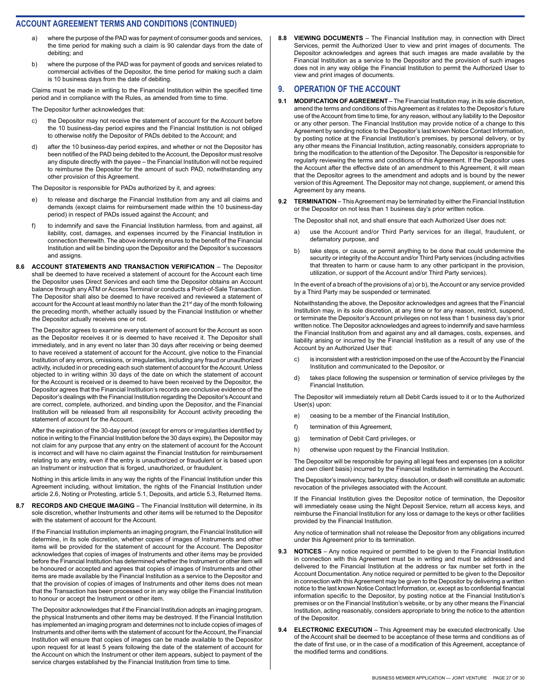- where the purpose of the PAD was for payment of consumer goods and services, the time period for making such a claim is 90 calendar days from the date of debiting; and
- b) where the purpose of the PAD was for payment of goods and services related to commercial activities of the Depositor, the time period for making such a claim is 10 business days from the date of debiting.

Claims must be made in writing to the Financial Institution within the specified time period and in compliance with the Rules, as amended from time to time.

The Depositor further acknowledges that:

- c) the Depositor may not receive the statement of account for the Account before the 10 business-day period expires and the Financial Institution is not obliged to otherwise notify the Depositor of PADs debited to the Account; and
- d) after the 10 business-day period expires, and whether or not the Depositor has been notified of the PAD being debited to the Account, the Depositor must resolve any dispute directly with the payee – the Financial Institution will not be required to reimburse the Depositor for the amount of such PAD, notwithstanding any other provision of this Agreement.

The Depositor is responsible for PADs authorized by it, and agrees:

- to release and discharge the Financial Institution from any and all claims and demands (except claims for reimbursement made within the 10 business-day period) in respect of PADs issued against the Account; and
- f) to indemnify and save the Financial Institution harmless, from and against, all liability, cost, damages, and expenses incurred by the Financial Institution in connection therewith. The above indemnity enures to the benefit of the Financial Institution and will be binding upon the Depositor and the Depositor's successors and assigns.
- **8.6 ACCOUNT STATEMENTS AND TRANSACTION VERIFICATION** The Depositor shall be deemed to have received a statement of account for the Account each time the Depositor uses Direct Services and each time the Depositor obtains an Account balance through any ATM or Access Terminal or conducts a Point-of-Sale Transaction. The Depositor shall also be deemed to have received and reviewed a statement of account for the Account at least monthly no later than the 21<sup>st</sup> day of the month following the preceding month, whether actually issued by the Financial Institution or whether the Depositor actually receives one or not.

The Depositor agrees to examine every statement of account for the Account as soon as the Depositor receives it or is deemed to have received it. The Depositor shall immediately, and in any event no later than 30 days after receiving or being deemed to have received a statement of account for the Account, give notice to the Financial Institution of any errors, omissions, or irregularities, including any fraud or unauthorized activity, included in or preceding each such statement of account for the Account. Unless objected to in writing within 30 days of the date on which the statement of account for the Account is received or is deemed to have been received by the Depositor, the Depositor agrees that the Financial Institution's records are conclusive evidence of the Depositor's dealings with the Financial Institution regarding the Depositor's Account and are correct, complete, authorized, and binding upon the Depositor, and the Financial Institution will be released from all responsibility for Account activity preceding the statement of account for the Account.

After the expiration of the 30-day period (except for errors or irregularities identified by notice in writing to the Financial Institution before the 30 days expire), the Depositor may not claim for any purpose that any entry on the statement of account for the Account is incorrect and will have no claim against the Financial Institution for reimbursement relating to any entry, even if the entry is unauthorized or fraudulent or is based upon an Instrument or instruction that is forged, unauthorized, or fraudulent.

Nothing in this article limits in any way the rights of the Financial Institution under this Agreement including, without limitation, the rights of the Financial Institution under article 2.6, Noting or Protesting, article 5.1, Deposits, and article 5.3, Returned Items.

**8.7 RECORDS AND CHEQUE IMAGING** – The Financial Institution will determine, in its sole discretion, whether Instruments and other items will be returned to the Depositor with the statement of account for the Account.

If the Financial Institution implements an imaging program, the Financial Institution will determine, in its sole discretion, whether copies of images of Instruments and other items will be provided for the statement of account for the Account. The Depositor acknowledges that copies of images of Instruments and other items may be provided before the Financial Institution has determined whether the Instrument or other item will be honoured or accepted and agrees that copies of images of Instruments and other items are made available by the Financial Institution as a service to the Depositor and that the provision of copies of images of Instruments and other items does not mean that the Transaction has been processed or in any way oblige the Financial Institution to honour or accept the Instrument or other item.

The Depositor acknowledges that if the Financial Institution adopts an imaging program, the physical Instruments and other items may be destroyed. If the Financial Institution has implemented an imaging program and determines not to include copies of images of Instruments and other items with the statement of account for the Account, the Financial Institution will ensure that copies of images can be made available to the Depositor upon request for at least 5 years following the date of the statement of account for the Account on which the Instrument or other item appears, subject to payment of the service charges established by the Financial Institution from time to time.

**8.8 VIEWING DOCUMENTS** – The Financial Institution may, in connection with Direct Services, permit the Authorized User to view and print images of documents. The Depositor acknowledges and agrees that such images are made available by the Financial Institution as a service to the Depositor and the provision of such images does not in any way oblige the Financial Institution to permit the Authorized User to view and print images of documents.

#### **9. OPERATION OF THE ACCOUNT**

- **9.1 MODIFICATION OF AGREEMENT** The Financial Institution may, in its sole discretion, amend the terms and conditions of this Agreement as it relates to the Depositor's future use of the Account from time to time, for any reason, without any liability to the Depositor or any other person. The Financial Institution may provide notice of a change to this Agreement by sending notice to the Depositor's last known Notice Contact Information, by posting notice at the Financial Institution's premises, by personal delivery, or by any other means the Financial Institution, acting reasonably, considers appropriate to bring the modification to the attention of the Depositor. The Depositor is responsible for regularly reviewing the terms and conditions of this Agreement. If the Depositor uses the Account after the effective date of an amendment to this Agreement, it will mean that the Depositor agrees to the amendment and adopts and is bound by the newer version of this Agreement. The Depositor may not change, supplement, or amend this Agreement by any means.
- **9.2 TERMINATION** This Agreement may be terminated by either the Financial Institution or the Depositor on not less than 1 business day's prior written notice.

The Depositor shall not, and shall ensure that each Authorized User does not:

- a) use the Account and/or Third Party services for an illegal, fraudulent, or defamatory purpose, and
- b) take steps, or cause, or permit anything to be done that could undermine the security or integrity of the Account and/or Third Party services (including activities that threaten to harm or cause harm to any other participant in the provision, utilization, or support of the Account and/or Third Party services).

In the event of a breach of the provisions of a) or b), the Account or any service provided by a Third Party may be suspended or terminated.

Notwithstanding the above, the Depositor acknowledges and agrees that the Financial Institution may, in its sole discretion, at any time or for any reason, restrict, suspend, or terminate the Depositor's Account privileges on not less than 1 business day's prior written notice. The Depositor acknowledges and agrees to indemnify and save harmless the Financial Institution from and against any and all damages, costs, expenses, and liability arising or incurred by the Financial Institution as a result of any use of the Account by an Authorized User that:

- c) is inconsistent with a restriction imposed on the use of the Account by the Financial Institution and communicated to the Depositor, or
- d) takes place following the suspension or termination of service privileges by the Financial Institution.

The Depositor will immediately return all Debit Cards issued to it or to the Authorized User(s) upon:

- e) ceasing to be a member of the Financial Institution,
- f) termination of this Agreement,
- g) termination of Debit Card privileges, or
- h) otherwise upon request by the Financial Institution.

The Depositor will be responsible for paying all legal fees and expenses (on a solicitor and own client basis) incurred by the Financial Institution in terminating the Account.

The Depositor's insolvency, bankruptcy, dissolution, or death will constitute an automatic revocation of the privileges associated with the Account.

If the Financial Institution gives the Depositor notice of termination, the Depositor will immediately cease using the Night Deposit Service, return all access keys, and reimburse the Financial Institution for any loss or damage to the keys or other facilities provided by the Financial Institution.

Any notice of termination shall not release the Depositor from any obligations incurred under this Agreement prior to its termination.

- **9.3 NOTICES** Any notice required or permitted to be given to the Financial Institution in connection with this Agreement must be in writing and must be addressed and delivered to the Financial Institution at the address or fax number set forth in the Account Documentation. Any notice required or permitted to be given to the Depositor in connection with this Agreement may be given to the Depositor by delivering a written notice to the last known Notice Contact Information, or, except as to confidential financial information specific to the Depositor, by posting notice at the Financial Institution's premises or on the Financial Institution's website, or by any other means the Financial Institution, acting reasonably, considers appropriate to bring the notice to the attention of the Depositor.
- **9.4 ELECTRONIC EXECUTION** This Agreement may be executed electronically. Use of the Account shall be deemed to be acceptance of these terms and conditions as of the date of first use, or in the case of a modification of this Agreement, acceptance of the modified terms and conditions.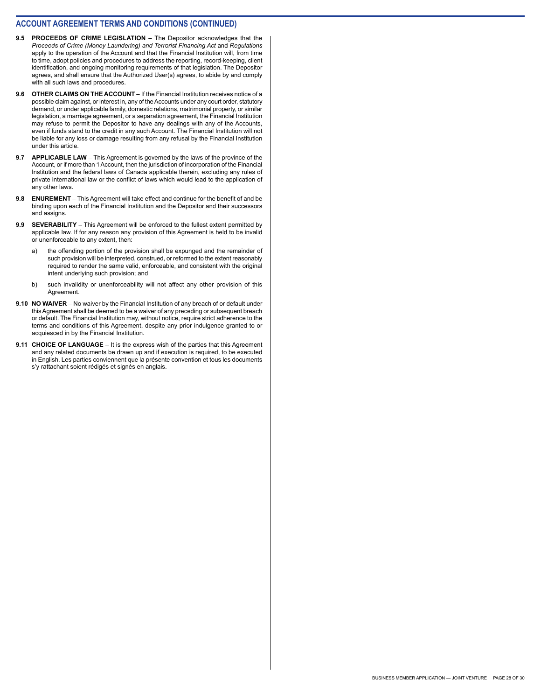- **9.5 PROCEEDS OF CRIME LEGISLATION** The Depositor acknowledges that the *Proceeds of Crime (Money Laundering) and Terrorist Financing Act* and *Regulations*  apply to the operation of the Account and that the Financial Institution will, from time to time, adopt policies and procedures to address the reporting, record-keeping, client identification, and ongoing monitoring requirements of that legislation. The Depositor agrees, and shall ensure that the Authorized User(s) agrees, to abide by and comply with all such laws and procedures.
- **9.6 OTHER CLAIMS ON THE ACCOUNT** If the Financial Institution receives notice of a possible claim against, or interest in, any of the Accounts under any court order, statutory demand, or under applicable family, domestic relations, matrimonial property, or similar legislation, a marriage agreement, or a separation agreement, the Financial Institution may refuse to permit the Depositor to have any dealings with any of the Accounts, even if funds stand to the credit in any such Account. The Financial Institution will not be liable for any loss or damage resulting from any refusal by the Financial Institution under this article.
- **9.7 APPLICABLE LAW** This Agreement is governed by the laws of the province of the Account, or if more than 1 Account, then the jurisdiction of incorporation of the Financial Institution and the federal laws of Canada applicable therein, excluding any rules of private international law or the conflict of laws which would lead to the application of any other laws.
- **9.8 ENUREMENT** This Agreement will take effect and continue for the benefit of and be binding upon each of the Financial Institution and the Depositor and their successors and assigns.
- **9.9 SEVERABILITY** This Agreement will be enforced to the fullest extent permitted by applicable law. If for any reason any provision of this Agreement is held to be invalid or unenforceable to any extent, then:
	- the offending portion of the provision shall be expunged and the remainder of such provision will be interpreted, construed, or reformed to the extent reasonably required to render the same valid, enforceable, and consistent with the original intent underlying such provision; and
	- b) such invalidity or unenforceability will not affect any other provision of this Agreement.
- **9.10 NO WAIVER** No waiver by the Financial Institution of any breach of or default under this Agreement shall be deemed to be a waiver of any preceding or subsequent breach or default. The Financial Institution may, without notice, require strict adherence to the terms and conditions of this Agreement, despite any prior indulgence granted to or acquiesced in by the Financial Institution.
- **9.11 CHOICE OF LANGUAGE** It is the express wish of the parties that this Agreement and any related documents be drawn up and if execution is required, to be executed in English. Les parties conviennent que la présente convention et tous les documents s'y rattachant soient rédigés et signés en anglais.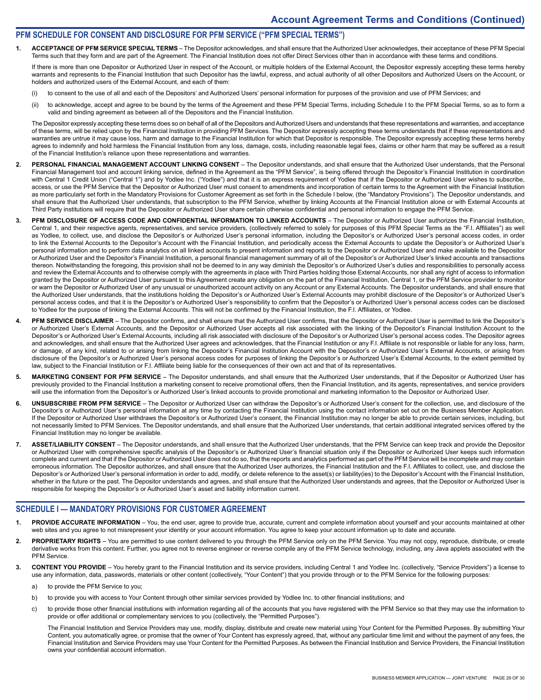#### **PFM SCHEDULE FOR CONSENT AND DISCLOSURE FOR PFM SERVICE ("PFM SPECIAL TERMS")**

**1. ACCEPTANCE OF PFM SERVICE SPECIAL TERMS** – The Depositor acknowledges, and shall ensure that the Authorized User acknowledges, their acceptance of these PFM Special Terms such that they form and are part of the Agreement. The Financial Institution does not offer Direct Services other than in accordance with these terms and conditions.

If there is more than one Depositor or Authorized User in respect of the Account, or multiple holders of the External Account, the Depositor expressly accepting these terms hereby warrants and represents to the Financial Institution that such Depositor has the lawful, express, and actual authority of all other Depositors and Authorized Users on the Account, or holders and authorized users of the External Account, and each of them:

- (i) to consent to the use of all and each of the Depositors' and Authorized Users' personal information for purposes of the provision and use of PFM Services; and
- (ii) to acknowledge, accept and agree to be bound by the terms of the Agreement and these PFM Special Terms, including Schedule I to the PFM Special Terms, so as to form a valid and binding agreement as between all of the Depositors and the Financial Institution.

The Depositor expressly accepting these terms does so on behalf of all of the Depositors and Authorized Users and understands that these representations and warranties, and acceptance of these terms, will be relied upon by the Financial Institution in providing PFM Services. The Depositor expressly accepting these terms understands that if these representations and warranties are untrue it may cause loss, harm and damage to the Financial Institution for which that Depositor is responsible. The Depositor expressly accepting these terms hereby agrees to indemnify and hold harmless the Financial Institution from any loss, damage, costs, including reasonable legal fees, claims or other harm that may be suffered as a result of the Financial Institution's reliance upon these representations and warranties.

- 2. PERSONAL FINANCIAL MANAGEMENT ACCOUNT LINKING CONSENT The Depositor understands, and shall ensure that the Authorized User understands, that the Personal Financial Management tool and account linking service, defined in the Agreement as the "PFM Service", is being offered through the Depositor's Financial Institution in coordination with Central 1 Credit Union ("Central 1") and by Yodlee Inc. ("Yodlee") and that it is an express requirement of Yodlee that if the Depositor or Authorized User wishes to subscribe, access, or use the PFM Service that the Depositor or Authorized User must consent to amendments and incorporation of certain terms to the Agreement with the Financial Institution as more particularly set forth in the Mandatory Provisions for Customer Agreement as set forth in the Schedule I below, (the "Mandatory Provisions"). The Depositor understands, and shall ensure that the Authorized User understands, that subscription to the PFM Service, whether by linking Accounts at the Financial Institution alone or with External Accounts at Third Party institutions will require that the Depositor or Authorized User share certain otherwise confidential and personal information to engage the PFM Service.
- 3. PFM DISCLOSURE OF ACCESS CODE AND CONFIDENTIAL INFORMATION TO LINKED ACCOUNTS The Depositor or Authorized User authorizes the Financial Institution, Central 1, and their respective agents, representatives, and service providers, (collectively referred to solely for purposes of this PFM Special Terms as the "F.I. Affiliates") as well as Yodlee, to collect, use, and disclose the Depositor's or Authorized User's personal information, including the Depositor's or Authorized User's personal access codes, in order to link the External Accounts to the Depositor's Account with the Financial Institution, and periodically access the External Accounts to update the Depositor's or Authorized User's personal information and to perform data analytics on all linked accounts to present information and reports to the Depositor or Authorized User and make available to the Depositor or Authorized User and the Depositor's Financial Institution, a personal financial management summary of all of the Depositor's or Authorized User's linked accounts and transactions thereon. Notwithstanding the foregoing, this provision shall not be deemed to in any way diminish the Depositor's or Authorized User's duties and responsibilities to personally access and review the External Accounts and to otherwise comply with the agreements in place with Third Parties holding those External Accounts, nor shall any right of access to information granted by the Depositor or Authorized User pursuant to this Agreement create any obligation on the part of the Financial Institution, Central 1, or the PFM Service provider to monitor or warn the Depositor or Authorized User of any unusual or unauthorized account activity on any Account or any External Accounts. The Depositor understands, and shall ensure that the Authorized User understands, that the institutions holding the Depositor's or Authorized User's External Accounts may prohibit disclosure of the Depositor's or Authorized User's personal access codes, and that it is the Depositor's or Authorized User's responsibility to confirm that the Depositor's or Authorized User's personal access codes can be disclosed to Yodlee for the purpose of linking the External Accounts. This will not be confirmed by the Financial Institution, the F.I. Affiliates, or Yodlee.
- **4. PFM SERVICE DISCLAIMER**  The Depositor confirms, and shall ensure that the Authorized User confirms, that the Depositor or Authorized User is permitted to link the Depositor's or Authorized User's External Accounts, and the Depositor or Authorized User accepts all risk associated with the linking of the Depositor's Financial Institution Account to the Depositor's or Authorized User's External Accounts, including all risk associated with disclosure of the Depositor's or Authorized User's personal access codes. The Depositor agrees and acknowledges, and shall ensure that the Authorized User agrees and acknowledges, that the Financial Institution or any F.I. Affiliate is not responsible or liable for any loss, harm, or damage, of any kind, related to or arising from linking the Depositor's Financial Institution Account with the Depositor's or Authorized User's External Accounts, or arising from disclosure of the Depositor's or Authorized User's personal access codes for purposes of linking the Depositor's or Authorized User's External Accounts, to the extent permitted by law, subject to the Financial Institution or F.I. Affiliate being liable for the consequences of their own act and that of its representatives.
- 5. MARKETING CONSENT FOR PFM SERVICE The Depositor understands, and shall ensure that the Authorized User understands, that if the Depositor or Authorized User has previously provided to the Financial Institution a marketing consent to receive promotional offers, then the Financial Institution, and its agents, representatives, and service providers will use the information from the Depositor's or Authorized User's linked accounts to provide promotional and marketing information to the Depositor or Authorized User.
- **6. UNSUBSCRIBE FROM PFM SERVICE**  The Depositor or Authorized User can withdraw the Depositor's or Authorized User's consent for the collection, use, and disclosure of the Depositor's or Authorized User's personal information at any time by contacting the Financial Institution using the contact information set out on the Business Member Application. If the Depositor or Authorized User withdraws the Depositor's or Authorized User's consent, the Financial Institution may no longer be able to provide certain services, including, but not necessarily limited to PFM Services. The Depositor understands, and shall ensure that the Authorized User understands, that certain additional integrated services offered by the Financial Institution may no longer be available.
- 7. ASSET/LIABILITY CONSENT The Depositor understands, and shall ensure that the Authorized User understands, that the PFM Service can keep track and provide the Depositor or Authorized User with comprehensive specific analysis of the Depositor's or Authorized User's financial situation only if the Depositor or Authorized User keeps such information complete and current and that if the Depositor or Authorized User does not do so, that the reports and analytics performed as part of the PFM Service will be incomplete and may contain erroneous information. The Depositor authorizes, and shall ensure that the Authorized User authorizes, the Financial Institution and the F.I. Affiliates to collect, use, and disclose the Depositor's or Authorized User's personal information in order to add, modify, or delete reference to the asset(s) or liability(ies) to the Depositor's Account with the Financial Institution, whether in the future or the past. The Depositor understands and agrees, and shall ensure that the Authorized User understands and agrees, that the Depositor or Authorized User is responsible for keeping the Depositor's or Authorized User's asset and liability information current.

#### **SCHEDULE I — MANDATORY PROVISIONS FOR CUSTOMER AGREEMENT**

- PROVIDE ACCURATE INFORMATION You, the end user, agree to provide true, accurate, current and complete information about yourself and your accounts maintained at other web sites and you agree to not misrepresent your identity or your account information. You agree to keep your account information up to date and accurate.
- 2. PROPRIETARY RIGHTS You are permitted to use content delivered to you through the PFM Service only on the PFM Service. You may not copy, reproduce, distribute, or create derivative works from this content. Further, you agree not to reverse engineer or reverse compile any of the PFM Service technology, including, any Java applets associated with the PFM Service.
- **3. CONTENT YOU PROVIDE**  You hereby grant to the Financial Institution and its service providers, including Central 1 and Yodlee Inc. (collectively, "Service Providers") a license to use any information, data, passwords, materials or other content (collectively, "Your Content") that you provide through or to the PFM Service for the following purposes:
	- a) to provide the PFM Service to you;
	- b) to provide you with access to Your Content through other similar services provided by Yodlee Inc. to other financial institutions; and
	- c) to provide those other financial institutions with information regarding all of the accounts that you have registered with the PFM Service so that they may use the information to provide or offer additional or complementary services to you (collectively, the "Permitted Purposes").

The Financial Institution and Service Providers may use, modify, display, distribute and create new material using Your Content for the Permitted Purposes. By submitting Your Content, you automatically agree, or promise that the owner of Your Content has expressly agreed, that, without any particular time limit and without the payment of any fees, the Financial Institution and Service Providers may use Your Content for the Permitted Purposes. As between the Financial Institution and Service Providers, the Financial Institution owns your confidential account information.